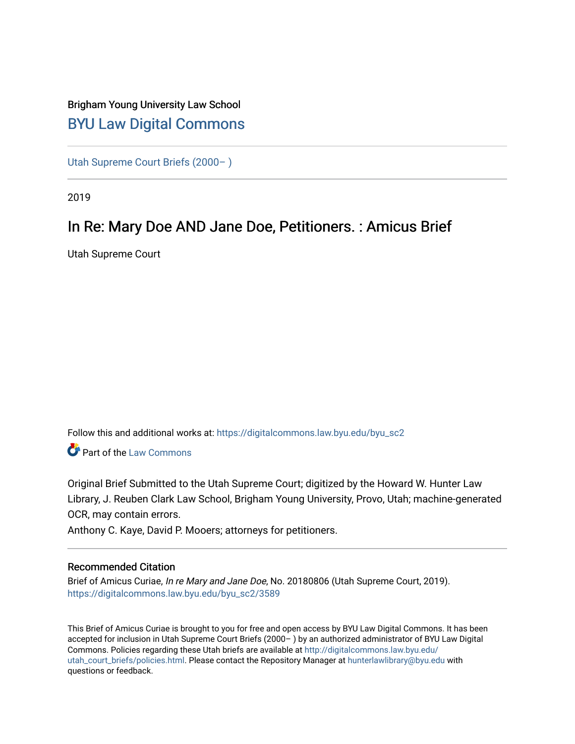# Brigham Young University Law School [BYU Law Digital Commons](https://digitalcommons.law.byu.edu/)

[Utah Supreme Court Briefs \(2000– \)](https://digitalcommons.law.byu.edu/byu_sc2)

2019

# In Re: Mary Doe AND Jane Doe, Petitioners. : Amicus Brief

Utah Supreme Court

Follow this and additional works at: [https://digitalcommons.law.byu.edu/byu\\_sc2](https://digitalcommons.law.byu.edu/byu_sc2?utm_source=digitalcommons.law.byu.edu%2Fbyu_sc2%2F3589&utm_medium=PDF&utm_campaign=PDFCoverPages) 

Part of the [Law Commons](https://network.bepress.com/hgg/discipline/578?utm_source=digitalcommons.law.byu.edu%2Fbyu_sc2%2F3589&utm_medium=PDF&utm_campaign=PDFCoverPages)

Original Brief Submitted to the Utah Supreme Court; digitized by the Howard W. Hunter Law Library, J. Reuben Clark Law School, Brigham Young University, Provo, Utah; machine-generated OCR, may contain errors.

Anthony C. Kaye, David P. Mooers; attorneys for petitioners.

#### Recommended Citation

Brief of Amicus Curiae, In re Mary and Jane Doe, No. 20180806 (Utah Supreme Court, 2019). [https://digitalcommons.law.byu.edu/byu\\_sc2/3589](https://digitalcommons.law.byu.edu/byu_sc2/3589?utm_source=digitalcommons.law.byu.edu%2Fbyu_sc2%2F3589&utm_medium=PDF&utm_campaign=PDFCoverPages)

This Brief of Amicus Curiae is brought to you for free and open access by BYU Law Digital Commons. It has been accepted for inclusion in Utah Supreme Court Briefs (2000– ) by an authorized administrator of BYU Law Digital Commons. Policies regarding these Utah briefs are available at [http://digitalcommons.law.byu.edu/](http://digitalcommons.law.byu.edu/utah_court_briefs/policies.html) [utah\\_court\\_briefs/policies.html.](http://digitalcommons.law.byu.edu/utah_court_briefs/policies.html) Please contact the Repository Manager at hunterlawlibrary@byu.edu with questions or feedback.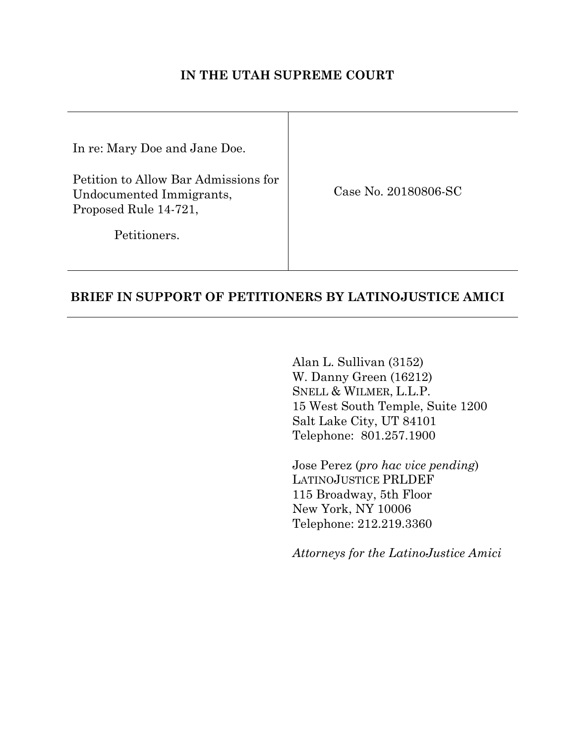## **IN THE UTAH SUPREME COURT**

| Case No. 20180806-SC |
|----------------------|
|                      |
|                      |

## **BRIEF IN SUPPORT OF PETITIONERS BY LATINOJUSTICE AMICI**

Alan L. Sullivan (3152) W. Danny Green (16212) SNELL & WILMER, L.L.P. 15 West South Temple, Suite 1200 Salt Lake City, UT 84101 Telephone: 801.257.1900

Jose Perez (*pro hac vice pending*) LATINOJUSTICE PRLDEF 115 Broadway, 5th Floor New York, NY 10006 Telephone: 212.219.3360

*Attorneys for the LatinoJustice Amici*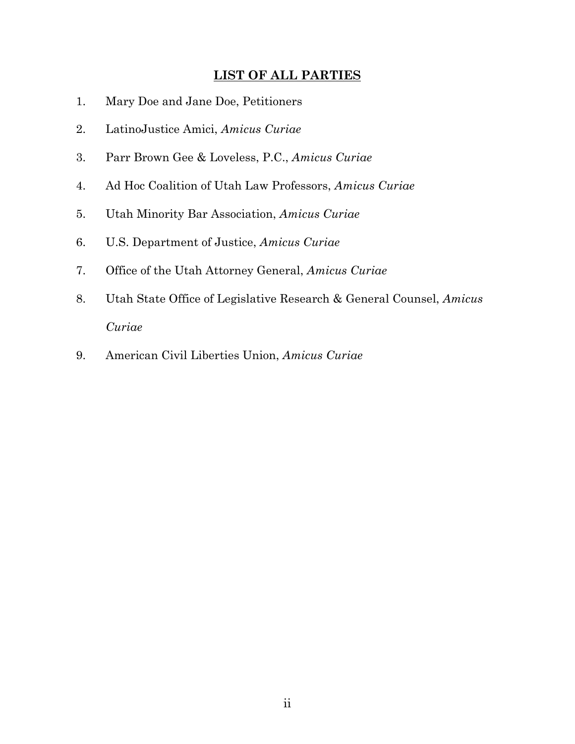#### **LIST OF ALL PARTIES**

- 1. Mary Doe and Jane Doe, Petitioners
- 2. LatinoJustice Amici, *Amicus Curiae*
- 3. Parr Brown Gee & Loveless, P.C., *Amicus Curiae*
- 4. Ad Hoc Coalition of Utah Law Professors, *Amicus Curiae*
- 5. Utah Minority Bar Association, *Amicus Curiae*
- 6. U.S. Department of Justice, *Amicus Curiae*
- 7. Office of the Utah Attorney General, *Amicus Curiae*
- 8. Utah State Office of Legislative Research & General Counsel, *Amicus Curiae*
- 9. American Civil Liberties Union, *Amicus Curiae*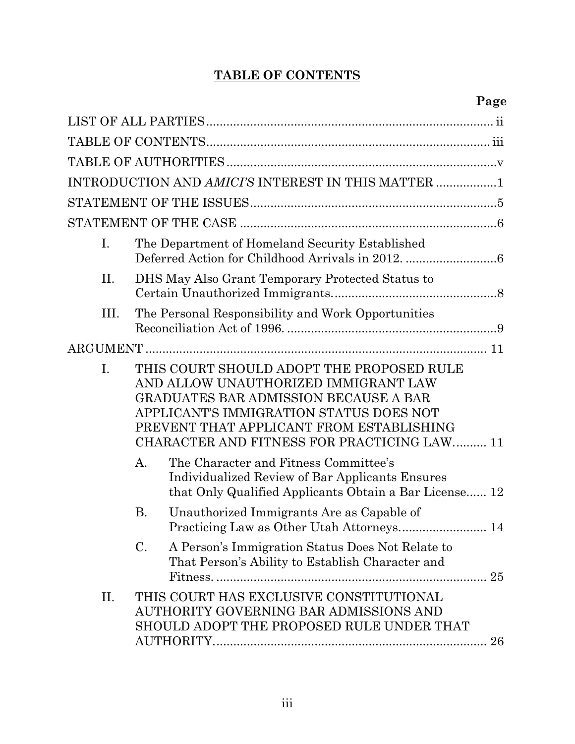# **TABLE OF CONTENTS**

|      | INTRODUCTION AND AMICI'S INTEREST IN THIS MATTER 1                                                                                                                                                                                                               |
|------|------------------------------------------------------------------------------------------------------------------------------------------------------------------------------------------------------------------------------------------------------------------|
|      |                                                                                                                                                                                                                                                                  |
|      |                                                                                                                                                                                                                                                                  |
| Ι.   | The Department of Homeland Security Established                                                                                                                                                                                                                  |
| II.  | DHS May Also Grant Temporary Protected Status to                                                                                                                                                                                                                 |
| III. | The Personal Responsibility and Work Opportunities                                                                                                                                                                                                               |
|      |                                                                                                                                                                                                                                                                  |
| I.   | THIS COURT SHOULD ADOPT THE PROPOSED RULE<br>AND ALLOW UNAUTHORIZED IMMIGRANT LAW<br>GRADUATES BAR ADMISSION BECAUSE A BAR<br>APPLICANT'S IMMIGRATION STATUS DOES NOT<br>PREVENT THAT APPLICANT FROM ESTABLISHING<br>CHARACTER AND FITNESS FOR PRACTICING LAW 11 |
|      | The Character and Fitness Committee's<br>A.<br><b>Individualized Review of Bar Applicants Ensures</b><br>that Only Qualified Applicants Obtain a Bar License 12                                                                                                  |
|      | Unauthorized Immigrants Are as Capable of<br>Β.                                                                                                                                                                                                                  |
|      | $\mathbf{C}$ .<br>A Person's Immigration Status Does Not Relate to<br>That Person's Ability to Establish Character and                                                                                                                                           |
| II.  | THIS COURT HAS EXCLUSIVE CONSTITUTIONAL<br>AUTHORITY GOVERNING BAR ADMISSIONS AND<br>SHOULD ADOPT THE PROPOSED RULE UNDER THAT<br>26                                                                                                                             |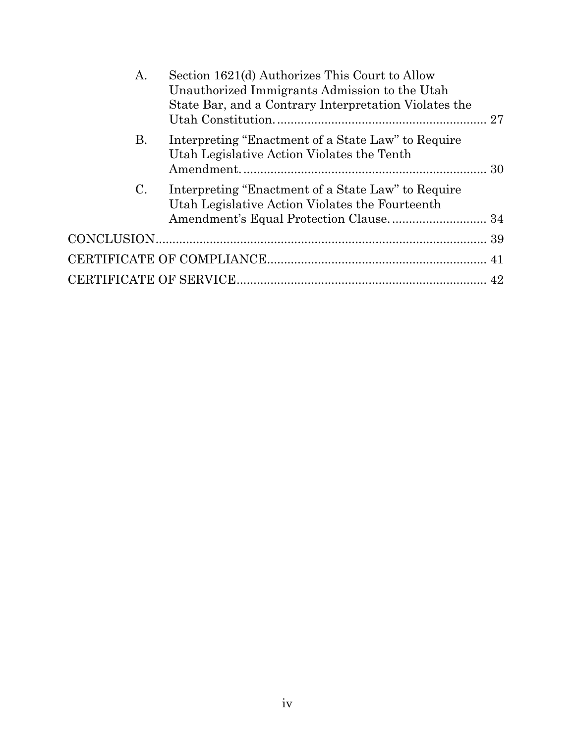| А.             | Section 1621(d) Authorizes This Court to Allow<br>Unauthorized Immigrants Admission to the Utah<br>State Bar, and a Contrary Interpretation Violates the |    |
|----------------|----------------------------------------------------------------------------------------------------------------------------------------------------------|----|
| <b>B.</b>      | Interpreting "Enactment of a State Law" to Require<br>Utah Legislative Action Violates the Tenth                                                         |    |
| $\mathbf{C}$ . | Interpreting "Enactment of a State Law" to Require<br>Utah Legislative Action Violates the Fourteenth                                                    |    |
|                |                                                                                                                                                          |    |
|                |                                                                                                                                                          |    |
|                |                                                                                                                                                          | 42 |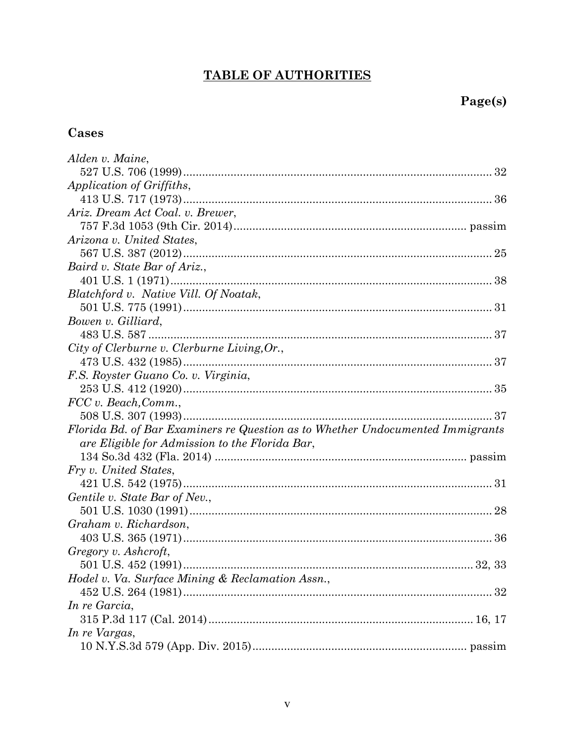# **TABLE OF AUTHORITIES**

# Cases

| Alden v. Maine,                                                                |  |
|--------------------------------------------------------------------------------|--|
|                                                                                |  |
| Application of Griffiths,                                                      |  |
|                                                                                |  |
| Ariz. Dream Act Coal. v. Brewer,                                               |  |
|                                                                                |  |
| Arizona v. United States,                                                      |  |
|                                                                                |  |
| Baird v. State Bar of Ariz.,                                                   |  |
|                                                                                |  |
| Blatchford v. Native Vill. Of Noatak,                                          |  |
|                                                                                |  |
| Bowen v. Gilliard,                                                             |  |
|                                                                                |  |
| City of Clerburne v. Clerburne Living, Or.,                                    |  |
|                                                                                |  |
| F.S. Royster Guano Co. v. Virginia,                                            |  |
|                                                                                |  |
| FCC v. Beach, Comm.,                                                           |  |
|                                                                                |  |
| Florida Bd. of Bar Examiners re Question as to Whether Undocumented Immigrants |  |
| are Eligible for Admission to the Florida Bar,                                 |  |
|                                                                                |  |
| Fry v. United States,                                                          |  |
|                                                                                |  |
| Gentile v. State Bar of Nev.,                                                  |  |
|                                                                                |  |
| Graham v. Richardson,                                                          |  |
|                                                                                |  |
| Gregory v. Ashcroft,                                                           |  |
|                                                                                |  |
| Hodel v. Va. Surface Mining & Reclamation Assn.,                               |  |
|                                                                                |  |
| In re Garcia,                                                                  |  |
|                                                                                |  |
| In re Vargas,                                                                  |  |
|                                                                                |  |
|                                                                                |  |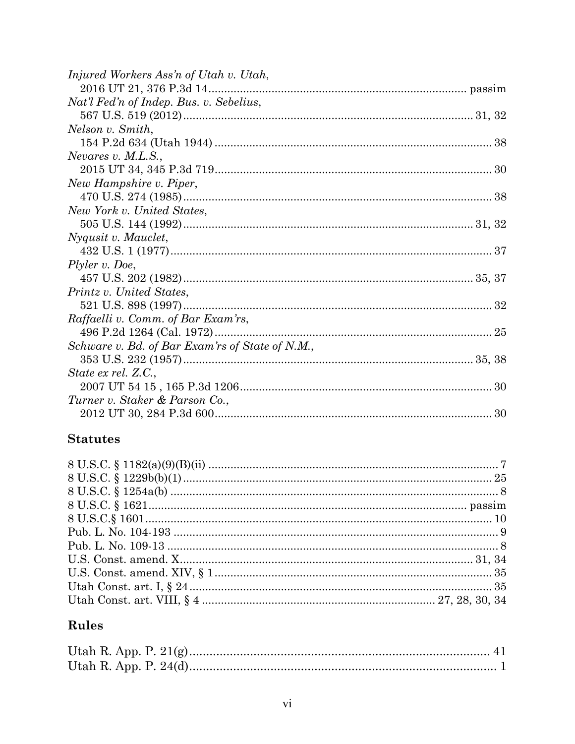| Injured Workers Ass'n of Utah v. Utah,          |  |
|-------------------------------------------------|--|
|                                                 |  |
| Nat'l Fed'n of Indep. Bus. v. Sebelius,         |  |
|                                                 |  |
| Nelson v. Smith,                                |  |
|                                                 |  |
| Nevares $v.$ M.L.S.,                            |  |
|                                                 |  |
| New Hampshire v. Piper,                         |  |
|                                                 |  |
| New York v. United States,                      |  |
|                                                 |  |
| Nyqusit v. Mauclet,                             |  |
|                                                 |  |
| Plyler v. Doe,                                  |  |
|                                                 |  |
| Printz v. United States,                        |  |
|                                                 |  |
| Raffaelli v. Comm. of Bar Exam'rs,              |  |
|                                                 |  |
| Schware v. Bd. of Bar Exam'rs of State of N.M., |  |
|                                                 |  |
| State ex rel. $Z.C.,$                           |  |
|                                                 |  |
| Turner v. Staker & Parson Co.,                  |  |
|                                                 |  |

# **Statutes**

# Rules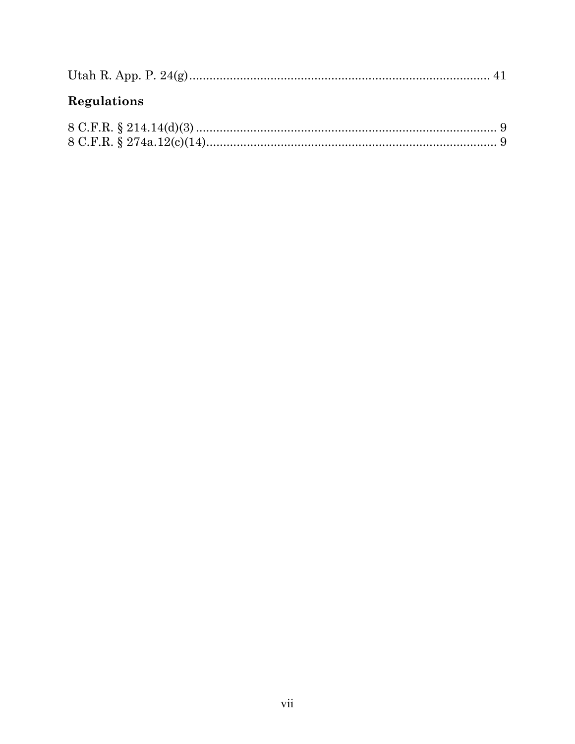| <b>Regulations</b> |  |
|--------------------|--|
|                    |  |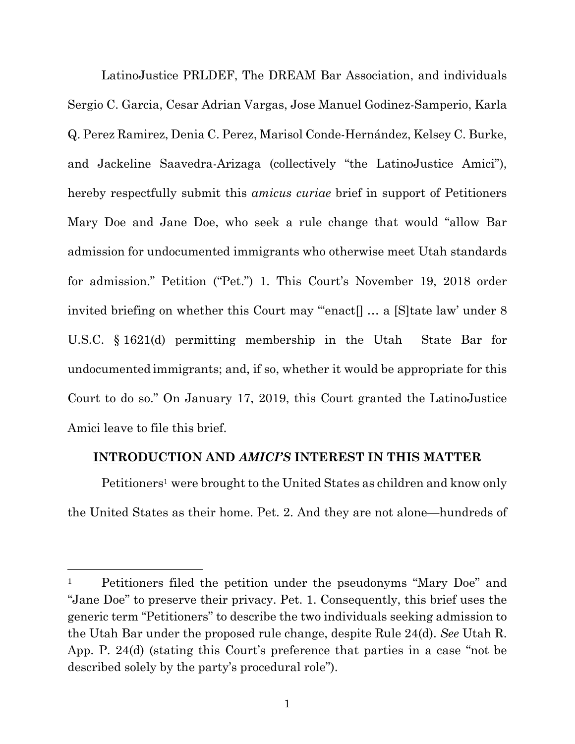LatinoJustice PRLDEF, The DREAM Bar Association, and individuals Sergio C. Garcia, Cesar Adrian Vargas, Jose Manuel Godinez-Samperio, Karla Q. Perez Ramirez, Denia C. Perez, Marisol Conde-Hernández, Kelsey C. Burke, and Jackeline Saavedra-Arizaga (collectively "the LatinoJustice Amici"), hereby respectfully submit this *amicus curiae* brief in support of Petitioners Mary Doe and Jane Doe, who seek a rule change that would "allow Bar admission for undocumented immigrants who otherwise meet Utah standards for admission." Petition ("Pet.") 1. This Court's November 19, 2018 order invited briefing on whether this Court may "enact<sup>[]</sup> ... a [S] tate law' under 8 U.S.C. § 1621(d) permitting membership in the Utah State Bar for undocumented immigrants; and, if so, whether it would be appropriate for this Court to do so." On January 17, 2019, this Court granted the LatinoJustice Amici leave to file this brief.

#### **INTRODUCTION AND** *AMICI'S* **INTEREST IN THIS MATTER**

Petitioners<sup>1</sup> were brought to the United States as children and know only the United States as their home. Pet. 2. And they are not alone—hundreds of

<sup>&</sup>lt;sup>1</sup> Petitioners filed the petition under the pseudonyms "Mary Doe" and "Jane Doe" to preserve their privacy. Pet. 1. Consequently, this brief uses the generic term "Petitioners" to describe the two individuals seeking admission to the Utah Bar under the proposed rule change, despite Rule 24(d). *See* Utah R. App. P. 24(d) (stating this Court's preference that parties in a case "not be described solely by the party's procedural role").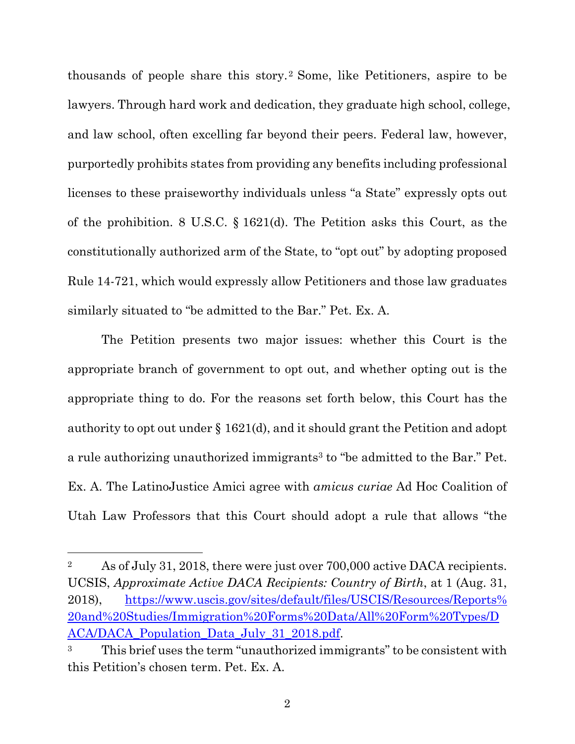thousands of people share this story.2 Some, like Petitioners, aspire to be lawyers. Through hard work and dedication, they graduate high school, college, and law school, often excelling far beyond their peers. Federal law, however, purportedly prohibits states from providing any benefits including professional licenses to these praiseworthy individuals unless "a State" expressly opts out of the prohibition. 8 U.S.C. § 1621(d). The Petition asks this Court, as the constitutionally authorized arm of the State, to "opt out" by adopting proposed Rule 14-721, which would expressly allow Petitioners and those law graduates similarly situated to "be admitted to the Bar." Pet. Ex. A.

The Petition presents two major issues: whether this Court is the appropriate branch of government to opt out, and whether opting out is the appropriate thing to do. For the reasons set forth below, this Court has the authority to opt out under § 1621(d), and it should grant the Petition and adopt a rule authorizing unauthorized immigrants<sup>3</sup> to "be admitted to the Bar." Pet. Ex. A. The LatinoJustice Amici agree with *amicus curiae* Ad Hoc Coalition of Utah Law Professors that this Court should adopt a rule that allows "the

<sup>&</sup>lt;sup>2</sup> As of July 31, 2018, there were just over 700,000 active DACA recipients. UCSIS, *Approximate Active DACA Recipients: Country of Birth*, at 1 (Aug. 31, 2018), https://www.uscis.gov/sites/default/files/USCIS/Resources/Reports% 20and%20Studies/Immigration%20Forms%20Data/All%20Form%20Types/D ACA/DACA\_Population\_Data\_July\_31\_2018.pdf.

<sup>&</sup>lt;sup>3</sup> This brief uses the term "unauthorized immigrants" to be consistent with this Petition's chosen term. Pet. Ex. A.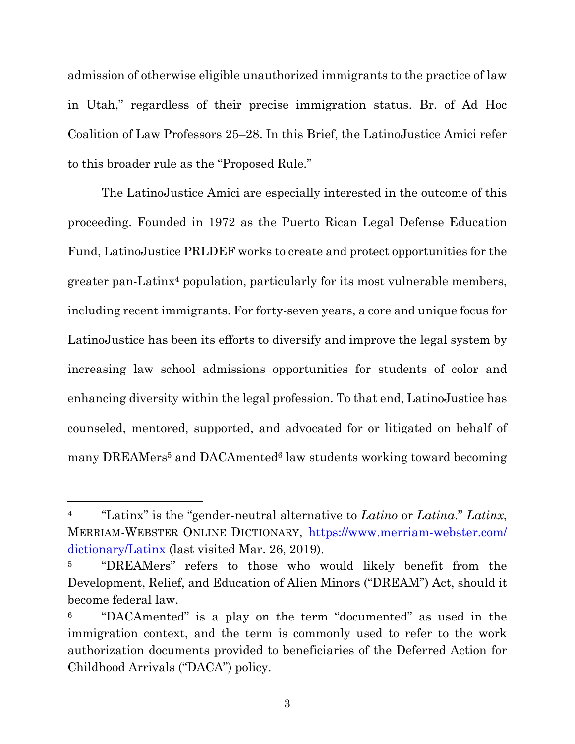admission of otherwise eligible unauthorized immigrants to the practice of law in Utah," regardless of their precise immigration status. Br. of Ad Hoc Coalition of Law Professors 25–28. In this Brief, the LatinoJustice Amici refer to this broader rule as the "Proposed Rule."

The LatinoJustice Amici are especially interested in the outcome of this proceeding. Founded in 1972 as the Puerto Rican Legal Defense Education Fund, LatinoJustice PRLDEF works to create and protect opportunities for the greater pan-Latinx4 population, particularly for its most vulnerable members, including recent immigrants. For forty-seven years, a core and unique focus for LatinoJustice has been its efforts to diversify and improve the legal system by increasing law school admissions opportunities for students of color and enhancing diversity within the legal profession. To that end, LatinoJustice has counseled, mentored, supported, and advocated for or litigated on behalf of many DREAMers<sup>5</sup> and DACAmented<sup>6</sup> law students working toward becoming

<sup>4 &</sup>quot;Latinx" is the "gender-neutral alternative to *Latino* or *Latina*." *Latinx*, MERRIAM-WEBSTER ONLINE DICTIONARY, https://www.merriam-webster.com/ dictionary/Latinx (last visited Mar. 26, 2019).

<sup>&</sup>lt;sup>5</sup> "DREAMers" refers to those who would likely benefit from the Development, Relief, and Education of Alien Minors ("DREAM") Act, should it become federal law.

<sup>6 &</sup>quot;DACAmented" is a play on the term "documented" as used in the immigration context, and the term is commonly used to refer to the work authorization documents provided to beneficiaries of the Deferred Action for Childhood Arrivals ("DACA") policy.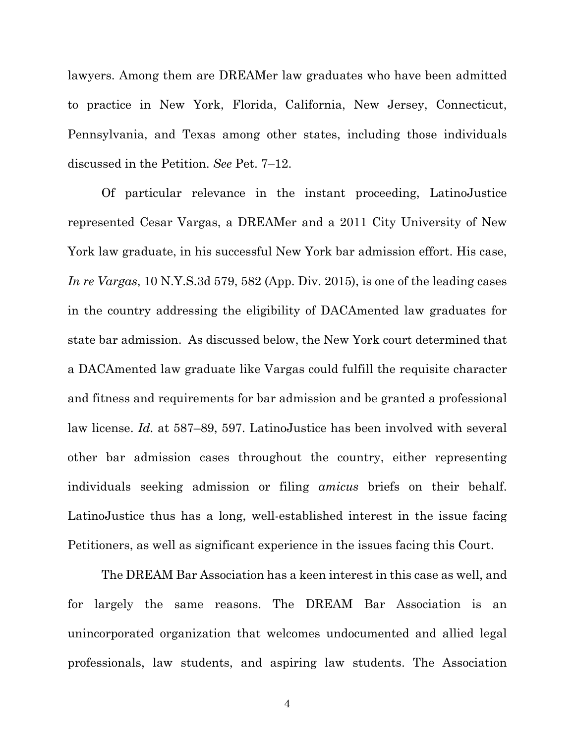lawyers. Among them are DREAMer law graduates who have been admitted to practice in New York, Florida, California, New Jersey, Connecticut, Pennsylvania, and Texas among other states, including those individuals discussed in the Petition. *See* Pet. 7–12.

Of particular relevance in the instant proceeding, LatinoJustice represented Cesar Vargas, a DREAMer and a 2011 City University of New York law graduate, in his successful New York bar admission effort. His case, *In re Vargas*, 10 N.Y.S.3d 579, 582 (App. Div. 2015), is one of the leading cases in the country addressing the eligibility of DACAmented law graduates for state bar admission. As discussed below, the New York court determined that a DACAmented law graduate like Vargas could fulfill the requisite character and fitness and requirements for bar admission and be granted a professional law license. *Id.* at 587–89, 597. LatinoJustice has been involved with several other bar admission cases throughout the country, either representing individuals seeking admission or filing *amicus* briefs on their behalf. LatinoJustice thus has a long, well-established interest in the issue facing Petitioners, as well as significant experience in the issues facing this Court.

The DREAM Bar Association has a keen interest in this case as well, and for largely the same reasons. The DREAM Bar Association is an unincorporated organization that welcomes undocumented and allied legal professionals, law students, and aspiring law students. The Association

4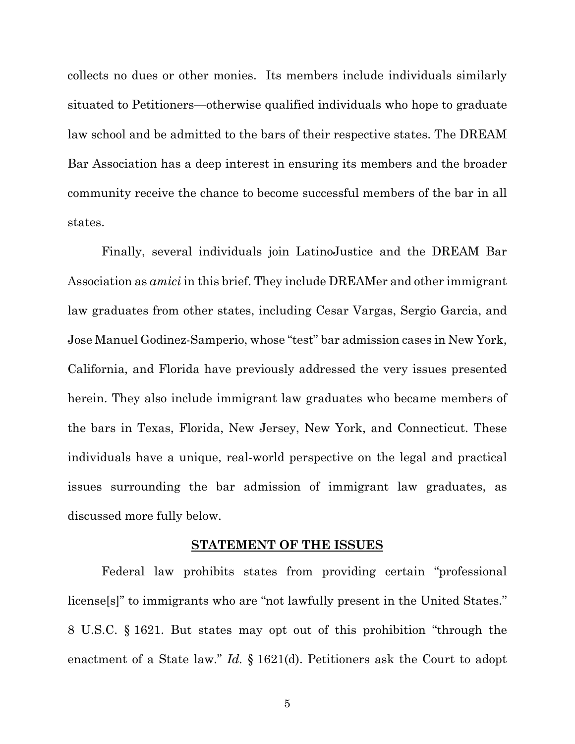collects no dues or other monies. Its members include individuals similarly situated to Petitioners—otherwise qualified individuals who hope to graduate law school and be admitted to the bars of their respective states. The DREAM Bar Association has a deep interest in ensuring its members and the broader community receive the chance to become successful members of the bar in all states.

Finally, several individuals join LatinoJustice and the DREAM Bar Association as *amici* in this brief. They include DREAMer and other immigrant law graduates from other states, including Cesar Vargas, Sergio Garcia, and Jose Manuel Godinez-Samperio, whose "test" bar admission cases in New York, California, and Florida have previously addressed the very issues presented herein. They also include immigrant law graduates who became members of the bars in Texas, Florida, New Jersey, New York, and Connecticut. These individuals have a unique, real-world perspective on the legal and practical issues surrounding the bar admission of immigrant law graduates, as discussed more fully below.

#### **STATEMENT OF THE ISSUES**

Federal law prohibits states from providing certain "professional license[s]" to immigrants who are "not lawfully present in the United States." 8 U.S.C. § 1621. But states may opt out of this prohibition "through the enactment of a State law." *Id.* § 1621(d). Petitioners ask the Court to adopt

5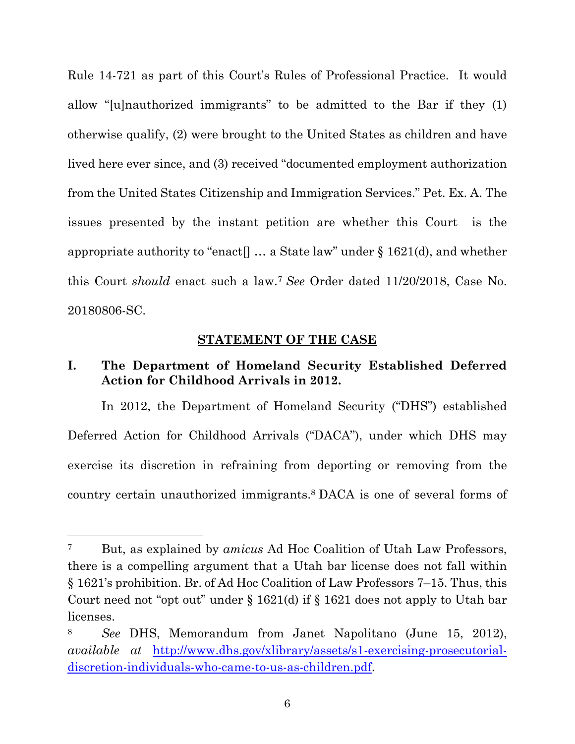Rule 14-721 as part of this Court's Rules of Professional Practice. It would allow "[u]nauthorized immigrants" to be admitted to the Bar if they (1) otherwise qualify, (2) were brought to the United States as children and have lived here ever since, and (3) received "documented employment authorization from the United States Citizenship and Immigration Services." Pet. Ex. A. The issues presented by the instant petition are whether this Court is the appropriate authority to "enact[]  $\ldots$  a State law" under § 1621(d), and whether this Court *should* enact such a law.7 *See* Order dated 11/20/2018, Case No. 20180806-SC.

#### **STATEMENT OF THE CASE**

### **I. The Department of Homeland Security Established Deferred Action for Childhood Arrivals in 2012.**

In 2012, the Department of Homeland Security ("DHS") established Deferred Action for Childhood Arrivals ("DACA"), under which DHS may exercise its discretion in refraining from deporting or removing from the country certain unauthorized immigrants.8 DACA is one of several forms of

<sup>7</sup> But, as explained by *amicus* Ad Hoc Coalition of Utah Law Professors, there is a compelling argument that a Utah bar license does not fall within § 1621's prohibition. Br. of Ad Hoc Coalition of Law Professors 7–15. Thus, this Court need not "opt out" under § 1621(d) if § 1621 does not apply to Utah bar licenses.

<sup>8</sup> *See* DHS, Memorandum from Janet Napolitano (June 15, 2012), *available at* http://www.dhs.gov/xlibrary/assets/s1-exercising-prosecutorialdiscretion-individuals-who-came-to-us-as-children.pdf.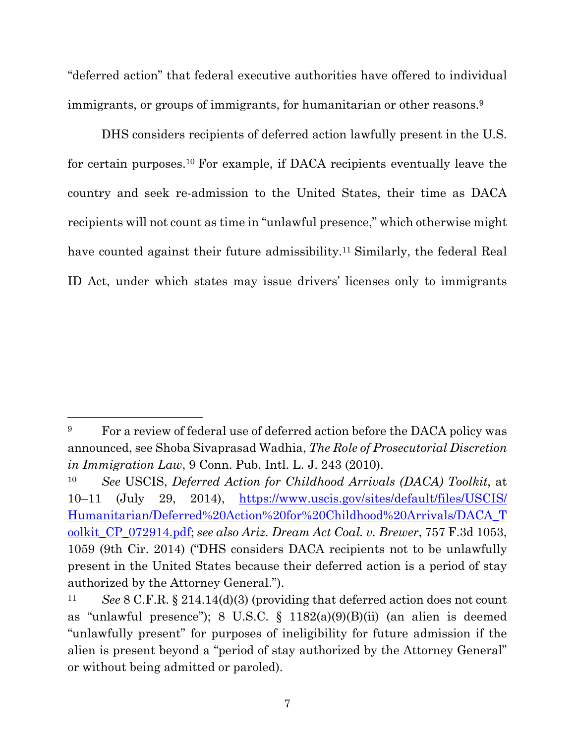"deferred action" that federal executive authorities have offered to individual immigrants, or groups of immigrants, for humanitarian or other reasons.<sup>9</sup>

DHS considers recipients of deferred action lawfully present in the U.S. for certain purposes.10 For example, if DACA recipients eventually leave the country and seek re-admission to the United States, their time as DACA recipients will not count as time in "unlawful presence," which otherwise might have counted against their future admissibility.<sup>11</sup> Similarly, the federal Real ID Act, under which states may issue drivers' licenses only to immigrants

<sup>&</sup>lt;sup>9</sup> For a review of federal use of deferred action before the DACA policy was announced, see Shoba Sivaprasad Wadhia, *The Role of Prosecutorial Discretion in Immigration Law*, 9 Conn. Pub. Intl. L. J. 243 (2010).

<sup>10</sup> *See* USCIS, *Deferred Action for Childhood Arrivals (DACA) Toolkit*, at 10–11 (July 29, 2014), https://www.uscis.gov/sites/default/files/USCIS/ Humanitarian/Deferred%20Action%20for%20Childhood%20Arrivals/DACA\_T oolkit\_CP\_072914.pdf; *see also Ariz. Dream Act Coal. v. Brewer*, 757 F.3d 1053, 1059 (9th Cir. 2014) ("DHS considers DACA recipients not to be unlawfully present in the United States because their deferred action is a period of stay authorized by the Attorney General.").

<sup>11</sup> *See* 8 C.F.R. § 214.14(d)(3) (providing that deferred action does not count as "unlawful presence"); 8 U.S.C. § 1182(a)(9)(B)(ii) (an alien is deemed "unlawfully present" for purposes of ineligibility for future admission if the alien is present beyond a "period of stay authorized by the Attorney General" or without being admitted or paroled).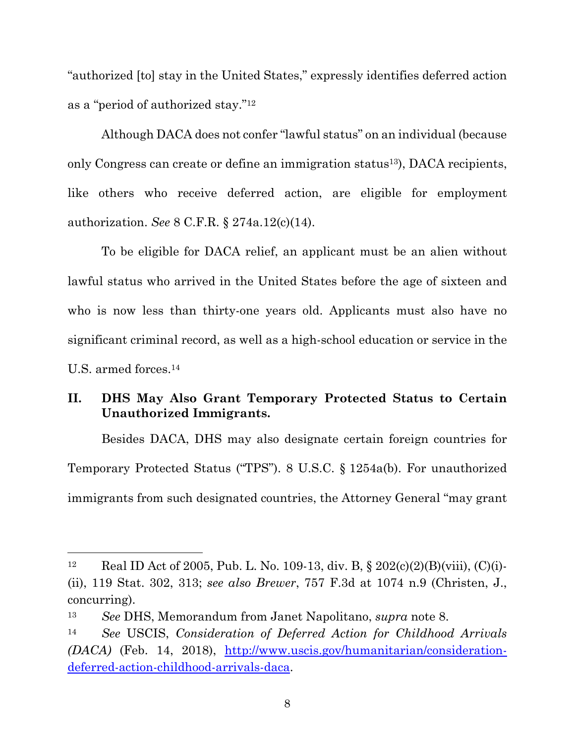"authorized [to] stay in the United States," expressly identifies deferred action as a "period of authorized stay."12

Although DACA does not confer "lawful status" on an individual (because only Congress can create or define an immigration status13), DACA recipients, like others who receive deferred action, are eligible for employment authorization. *See* 8 C.F.R. § 274a.12(c)(14).

To be eligible for DACA relief, an applicant must be an alien without lawful status who arrived in the United States before the age of sixteen and who is now less than thirty-one years old. Applicants must also have no significant criminal record, as well as a high-school education or service in the U.S. armed forces.14

## **II. DHS May Also Grant Temporary Protected Status to Certain Unauthorized Immigrants.**

Besides DACA, DHS may also designate certain foreign countries for Temporary Protected Status ("TPS"). 8 U.S.C. § 1254a(b). For unauthorized immigrants from such designated countries, the Attorney General "may grant

<sup>&</sup>lt;sup>12</sup> Real ID Act of 2005, Pub. L. No. 109-13, div. B,  $\S 202(c)(2)(B)(viii)$ , (C)(i)-(ii), 119 Stat. 302, 313; *see also Brewer*, 757 F.3d at 1074 n.9 (Christen, J., concurring).

<sup>13</sup> *See* DHS, Memorandum from Janet Napolitano, *supra* note 8.

<sup>14</sup> *See* USCIS, *Consideration of Deferred Action for Childhood Arrivals (DACA)* (Feb. 14, 2018), http://www.uscis.gov/humanitarian/considerationdeferred-action-childhood-arrivals-daca.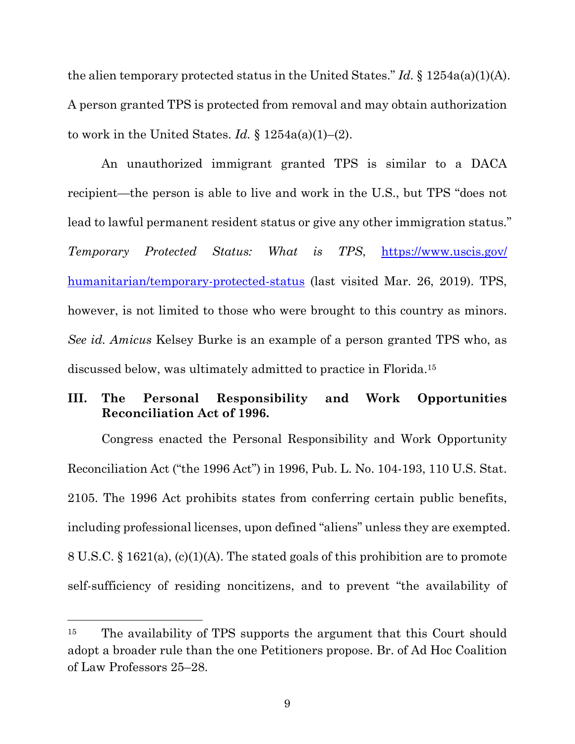the alien temporary protected status in the United States." *Id.* § 1254a(a)(1)(A). A person granted TPS is protected from removal and may obtain authorization to work in the United States. *Id.*  $\S 1254a(a)(1) - (2)$ .

An unauthorized immigrant granted TPS is similar to a DACA recipient—the person is able to live and work in the U.S., but TPS "does not lead to lawful permanent resident status or give any other immigration status." *Temporary Protected Status: What is TPS*, https://www.uscis.gov/ humanitarian/temporary-protected-status (last visited Mar. 26, 2019). TPS, however, is not limited to those who were brought to this country as minors. *See id. Amicus* Kelsey Burke is an example of a person granted TPS who, as discussed below, was ultimately admitted to practice in Florida.15

### **III. The Personal Responsibility and Work Opportunities Reconciliation Act of 1996.**

Congress enacted the Personal Responsibility and Work Opportunity Reconciliation Act ("the 1996 Act") in 1996, Pub. L. No. 104-193, 110 U.S. Stat. 2105. The 1996 Act prohibits states from conferring certain public benefits, including professional licenses, upon defined "aliens" unless they are exempted. 8 U.S.C. § 1621(a), (c)(1)(A). The stated goals of this prohibition are to promote self-sufficiency of residing noncitizens, and to prevent "the availability of

<sup>&</sup>lt;sup>15</sup> The availability of TPS supports the argument that this Court should adopt a broader rule than the one Petitioners propose. Br. of Ad Hoc Coalition of Law Professors 25–28.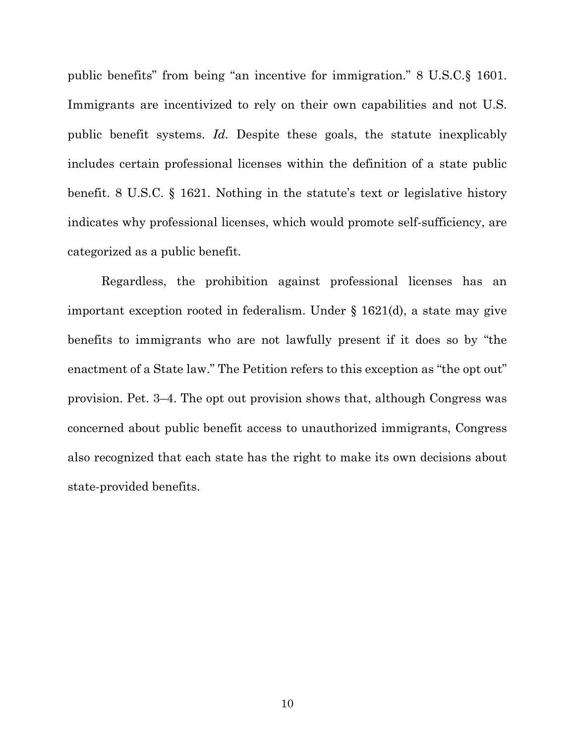public benefits" from being "an incentive for immigration." 8 U.S.C.§ 1601. Immigrants are incentivized to rely on their own capabilities and not U.S. public benefit systems. *Id.* Despite these goals, the statute inexplicably includes certain professional licenses within the definition of a state public benefit. 8 U.S.C. § 1621. Nothing in the statute's text or legislative history indicates why professional licenses, which would promote self-sufficiency, are categorized as a public benefit.

Regardless, the prohibition against professional licenses has an important exception rooted in federalism. Under § 1621(d), a state may give benefits to immigrants who are not lawfully present if it does so by "the enactment of a State law." The Petition refers to this exception as "the opt out" provision. Pet. 3–4. The opt out provision shows that, although Congress was concerned about public benefit access to unauthorized immigrants, Congress also recognized that each state has the right to make its own decisions about state-provided benefits.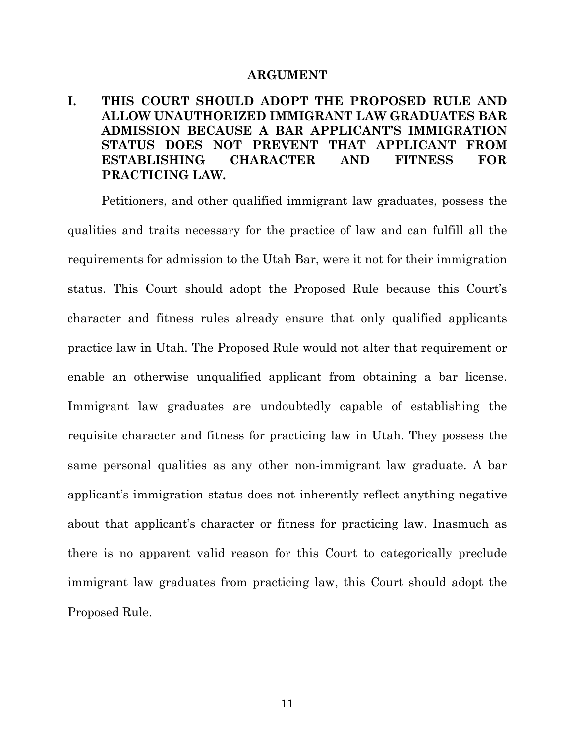#### **ARGUMENT**

## **I. THIS COURT SHOULD ADOPT THE PROPOSED RULE AND ALLOW UNAUTHORIZED IMMIGRANT LAW GRADUATES BAR ADMISSION BECAUSE A BAR APPLICANT'S IMMIGRATION STATUS DOES NOT PREVENT THAT APPLICANT FROM ESTABLISHING CHARACTER AND FITNESS FOR PRACTICING LAW.**

Petitioners, and other qualified immigrant law graduates, possess the qualities and traits necessary for the practice of law and can fulfill all the requirements for admission to the Utah Bar, were it not for their immigration status. This Court should adopt the Proposed Rule because this Court's character and fitness rules already ensure that only qualified applicants practice law in Utah. The Proposed Rule would not alter that requirement or enable an otherwise unqualified applicant from obtaining a bar license. Immigrant law graduates are undoubtedly capable of establishing the requisite character and fitness for practicing law in Utah. They possess the same personal qualities as any other non-immigrant law graduate. A bar applicant's immigration status does not inherently reflect anything negative about that applicant's character or fitness for practicing law. Inasmuch as there is no apparent valid reason for this Court to categorically preclude immigrant law graduates from practicing law, this Court should adopt the Proposed Rule.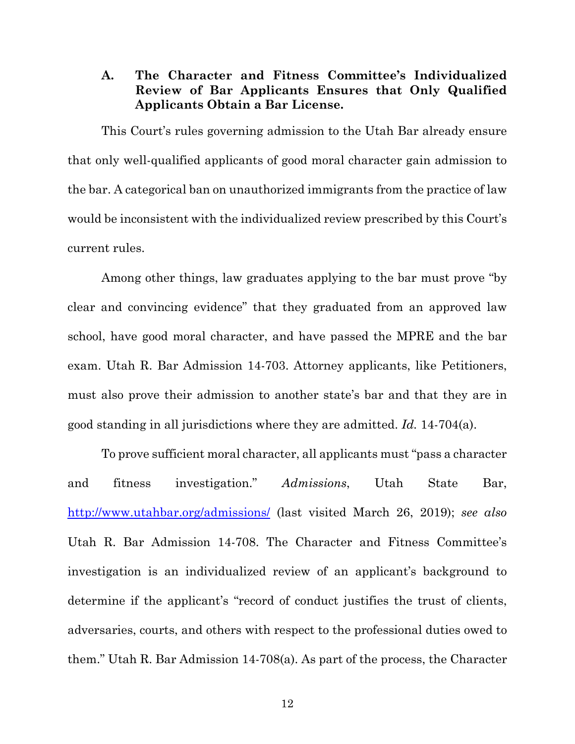### **A. The Character and Fitness Committee's Individualized Review of Bar Applicants Ensures that Only Qualified Applicants Obtain a Bar License.**

This Court's rules governing admission to the Utah Bar already ensure that only well-qualified applicants of good moral character gain admission to the bar. A categorical ban on unauthorized immigrants from the practice of law would be inconsistent with the individualized review prescribed by this Court's current rules.

Among other things, law graduates applying to the bar must prove "by clear and convincing evidence" that they graduated from an approved law school, have good moral character, and have passed the MPRE and the bar exam. Utah R. Bar Admission 14-703. Attorney applicants, like Petitioners, must also prove their admission to another state's bar and that they are in good standing in all jurisdictions where they are admitted. *Id.* 14-704(a).

To prove sufficient moral character, all applicants must "pass a character and fitness investigation." *Admissions*, Utah State Bar, http://www.utahbar.org/admissions/ (last visited March 26, 2019); *see also*  Utah R. Bar Admission 14-708. The Character and Fitness Committee's investigation is an individualized review of an applicant's background to determine if the applicant's "record of conduct justifies the trust of clients, adversaries, courts, and others with respect to the professional duties owed to them." Utah R. Bar Admission 14-708(a). As part of the process, the Character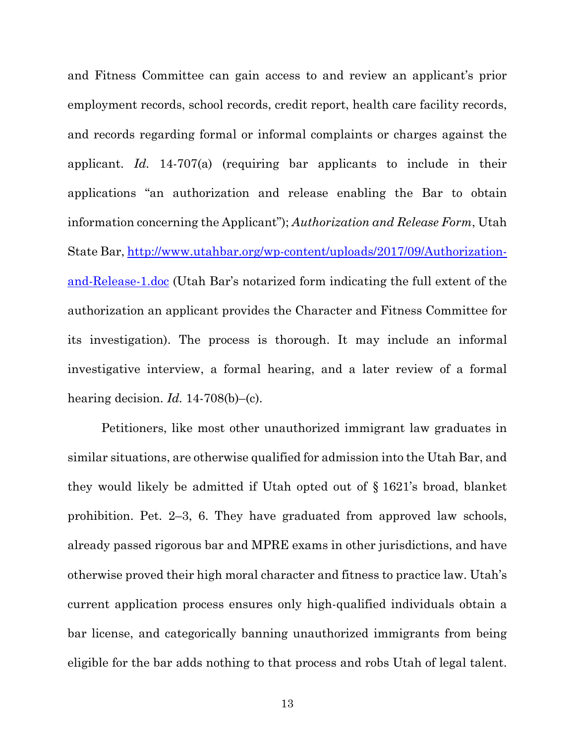and Fitness Committee can gain access to and review an applicant's prior employment records, school records, credit report, health care facility records, and records regarding formal or informal complaints or charges against the applicant. *Id.* 14-707(a) (requiring bar applicants to include in their applications "an authorization and release enabling the Bar to obtain information concerning the Applicant"); *Authorization and Release Form*, Utah State Bar, http://www.utahbar.org/wp-content/uploads/2017/09/Authorizationand-Release-1.doc (Utah Bar's notarized form indicating the full extent of the authorization an applicant provides the Character and Fitness Committee for its investigation). The process is thorough. It may include an informal investigative interview, a formal hearing, and a later review of a formal hearing decision. *Id.* 14-708(b)–(c).

Petitioners, like most other unauthorized immigrant law graduates in similar situations, are otherwise qualified for admission into the Utah Bar, and they would likely be admitted if Utah opted out of § 1621's broad, blanket prohibition. Pet. 2–3, 6. They have graduated from approved law schools, already passed rigorous bar and MPRE exams in other jurisdictions, and have otherwise proved their high moral character and fitness to practice law. Utah's current application process ensures only high-qualified individuals obtain a bar license, and categorically banning unauthorized immigrants from being eligible for the bar adds nothing to that process and robs Utah of legal talent.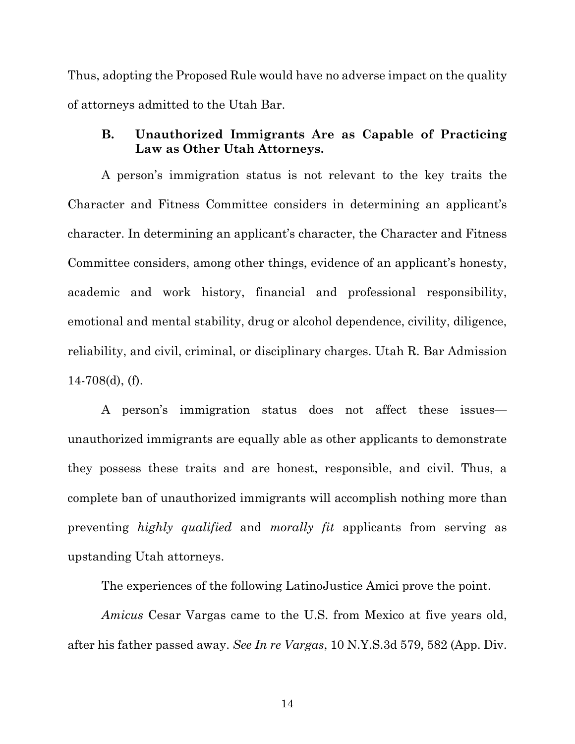Thus, adopting the Proposed Rule would have no adverse impact on the quality of attorneys admitted to the Utah Bar.

### **B. Unauthorized Immigrants Are as Capable of Practicing Law as Other Utah Attorneys.**

A person's immigration status is not relevant to the key traits the Character and Fitness Committee considers in determining an applicant's character. In determining an applicant's character, the Character and Fitness Committee considers, among other things, evidence of an applicant's honesty, academic and work history, financial and professional responsibility, emotional and mental stability, drug or alcohol dependence, civility, diligence, reliability, and civil, criminal, or disciplinary charges. Utah R. Bar Admission 14-708(d), (f).

A person's immigration status does not affect these issues unauthorized immigrants are equally able as other applicants to demonstrate they possess these traits and are honest, responsible, and civil. Thus, a complete ban of unauthorized immigrants will accomplish nothing more than preventing *highly qualified* and *morally fit* applicants from serving as upstanding Utah attorneys.

The experiences of the following LatinoJustice Amici prove the point.

*Amicus* Cesar Vargas came to the U.S. from Mexico at five years old, after his father passed away. *See In re Vargas*, 10 N.Y.S.3d 579, 582 (App. Div.

14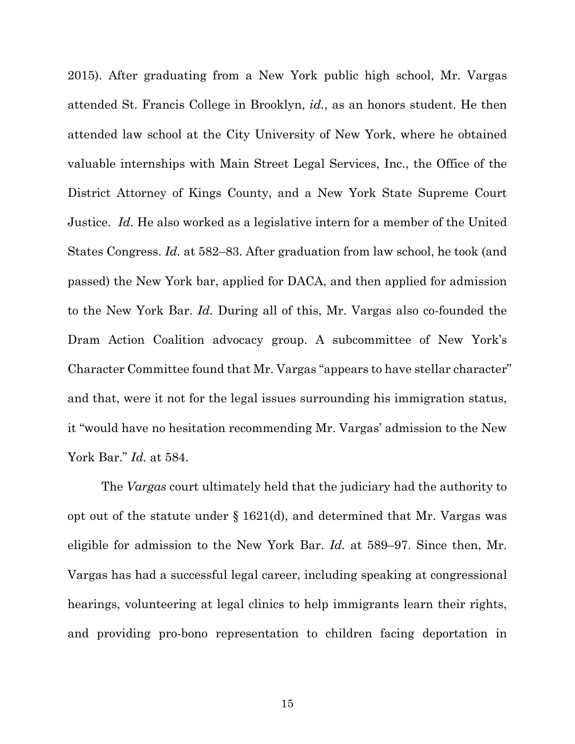2015). After graduating from a New York public high school, Mr. Vargas attended St. Francis College in Brooklyn, *id.*, as an honors student. He then attended law school at the City University of New York, where he obtained valuable internships with Main Street Legal Services, Inc., the Office of the District Attorney of Kings County, and a New York State Supreme Court Justice. *Id.* He also worked as a legislative intern for a member of the United States Congress. *Id.* at 582–83. After graduation from law school, he took (and passed) the New York bar, applied for DACA, and then applied for admission to the New York Bar. *Id.* During all of this, Mr. Vargas also co-founded the Dram Action Coalition advocacy group. A subcommittee of New York's Character Committee found that Mr. Vargas "appears to have stellar character" and that, were it not for the legal issues surrounding his immigration status, it "would have no hesitation recommending Mr. Vargas' admission to the New York Bar." *Id.* at 584.

The *Vargas* court ultimately held that the judiciary had the authority to opt out of the statute under § 1621(d), and determined that Mr. Vargas was eligible for admission to the New York Bar. *Id.* at 589–97. Since then, Mr. Vargas has had a successful legal career, including speaking at congressional hearings, volunteering at legal clinics to help immigrants learn their rights, and providing pro-bono representation to children facing deportation in

15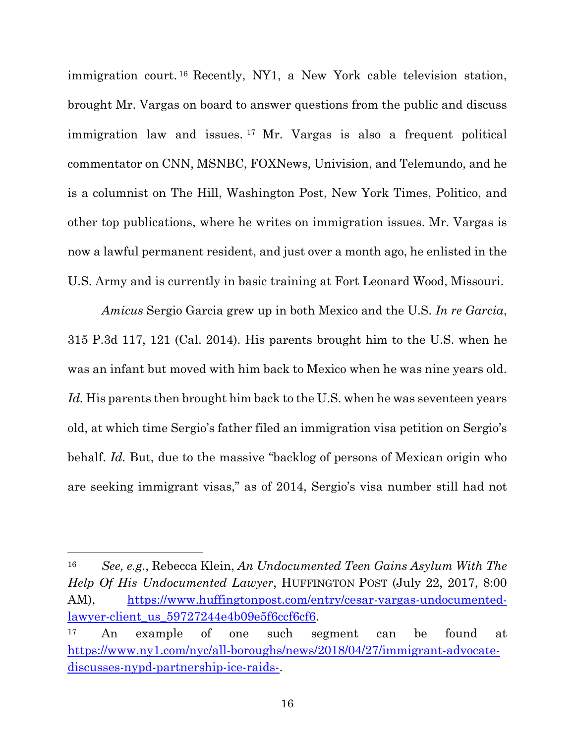immigration court. 16 Recently, NY1, a New York cable television station, brought Mr. Vargas on board to answer questions from the public and discuss immigration law and issues. 17 Mr. Vargas is also a frequent political commentator on CNN, MSNBC, FOXNews, Univision, and Telemundo, and he is a columnist on The Hill, Washington Post, New York Times, Politico, and other top publications, where he writes on immigration issues. Mr. Vargas is now a lawful permanent resident, and just over a month ago, he enlisted in the U.S. Army and is currently in basic training at Fort Leonard Wood, Missouri.

*Amicus* Sergio Garcia grew up in both Mexico and the U.S. *In re Garcia*, 315 P.3d 117, 121 (Cal. 2014). His parents brought him to the U.S. when he was an infant but moved with him back to Mexico when he was nine years old. *Id.* His parents then brought him back to the U.S. when he was seventeen years old, at which time Sergio's father filed an immigration visa petition on Sergio's behalf. *Id.* But, due to the massive "backlog of persons of Mexican origin who are seeking immigrant visas," as of 2014, Sergio's visa number still had not

<sup>16</sup> *See, e.g.*, Rebecca Klein, *An Undocumented Teen Gains Asylum With The Help Of His Undocumented Lawyer*, HUFFINGTON POST (July 22, 2017, 8:00 AM), https://www.huffingtonpost.com/entry/cesar-vargas-undocumentedlawyer-client\_us\_59727244e4b09e5f6ccf6cf6.

<sup>&</sup>lt;sup>17</sup> An example of one such segment can be found at https://www.ny1.com/nyc/all-boroughs/news/2018/04/27/immigrant-advocatediscusses-nypd-partnership-ice-raids-.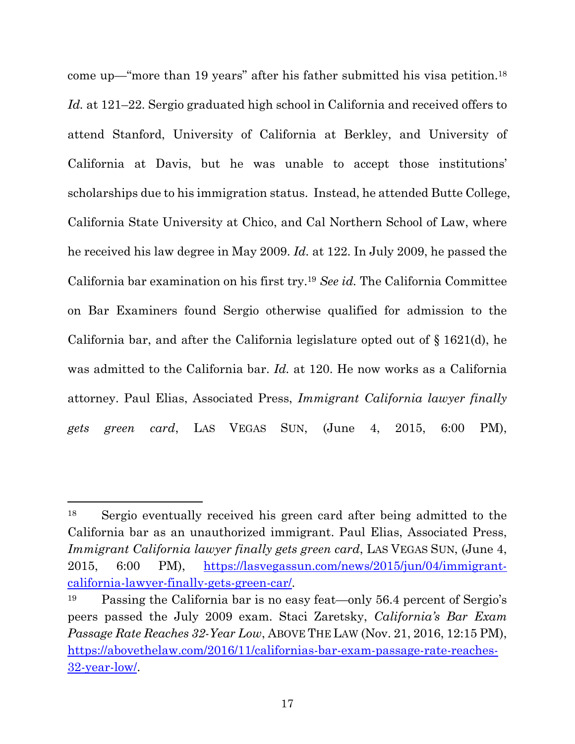come up—"more than 19 years" after his father submitted his visa petition.18 *Id.* at 121–22. Sergio graduated high school in California and received offers to attend Stanford, University of California at Berkley, and University of California at Davis, but he was unable to accept those institutions' scholarships due to his immigration status. Instead, he attended Butte College, California State University at Chico, and Cal Northern School of Law, where he received his law degree in May 2009. *Id.* at 122. In July 2009, he passed the California bar examination on his first try.19 *See id.* The California Committee on Bar Examiners found Sergio otherwise qualified for admission to the California bar, and after the California legislature opted out of § 1621(d), he was admitted to the California bar. *Id.* at 120. He now works as a California attorney. Paul Elias, Associated Press, *Immigrant California lawyer finally gets green card*, LAS VEGAS SUN, (June 4, 2015, 6:00 PM),

<sup>18</sup> Sergio eventually received his green card after being admitted to the California bar as an unauthorized immigrant. Paul Elias, Associated Press, *Immigrant California lawyer finally gets green card*, LAS VEGAS SUN, (June 4, 2015, 6:00 PM), https://lasvegassun.com/news/2015/jun/04/immigrantcalifornia-lawyer-finally-gets-green-car/.

<sup>19</sup> Passing the California bar is no easy feat—only 56.4 percent of Sergio's peers passed the July 2009 exam. Staci Zaretsky, *California's Bar Exam Passage Rate Reaches 32-Year Low*, ABOVE THE LAW (Nov. 21, 2016, 12:15 PM), https://abovethelaw.com/2016/11/californias-bar-exam-passage-rate-reaches-32-year-low/.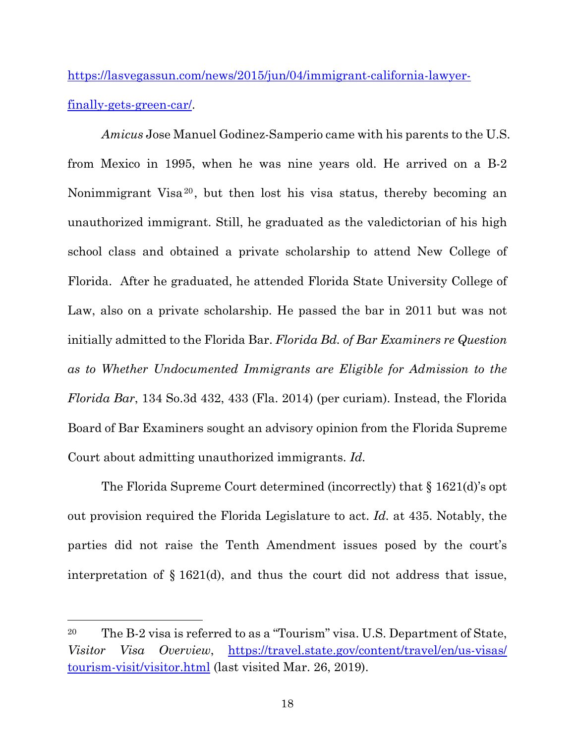https://lasvegassun.com/news/2015/jun/04/immigrant-california-lawyerfinally-gets-green-car/.

*Amicus* Jose Manuel Godinez-Samperio came with his parents to the U.S. from Mexico in 1995, when he was nine years old. He arrived on a B-2 Nonimmigrant Visa<sup>20</sup>, but then lost his visa status, thereby becoming an unauthorized immigrant. Still, he graduated as the valedictorian of his high school class and obtained a private scholarship to attend New College of Florida. After he graduated, he attended Florida State University College of Law, also on a private scholarship. He passed the bar in 2011 but was not initially admitted to the Florida Bar. *Florida Bd. of Bar Examiners re Question as to Whether Undocumented Immigrants are Eligible for Admission to the Florida Bar*, 134 So.3d 432, 433 (Fla. 2014) (per curiam). Instead, the Florida Board of Bar Examiners sought an advisory opinion from the Florida Supreme Court about admitting unauthorized immigrants. *Id.*

The Florida Supreme Court determined (incorrectly) that § 1621(d)'s opt out provision required the Florida Legislature to act. *Id.* at 435. Notably, the parties did not raise the Tenth Amendment issues posed by the court's interpretation of § 1621(d), and thus the court did not address that issue,

<sup>20</sup> The B-2 visa is referred to as a "Tourism" visa. U.S. Department of State, *Visitor Visa Overview*, https://travel.state.gov/content/travel/en/us-visas/ tourism-visit/visitor.html (last visited Mar. 26, 2019).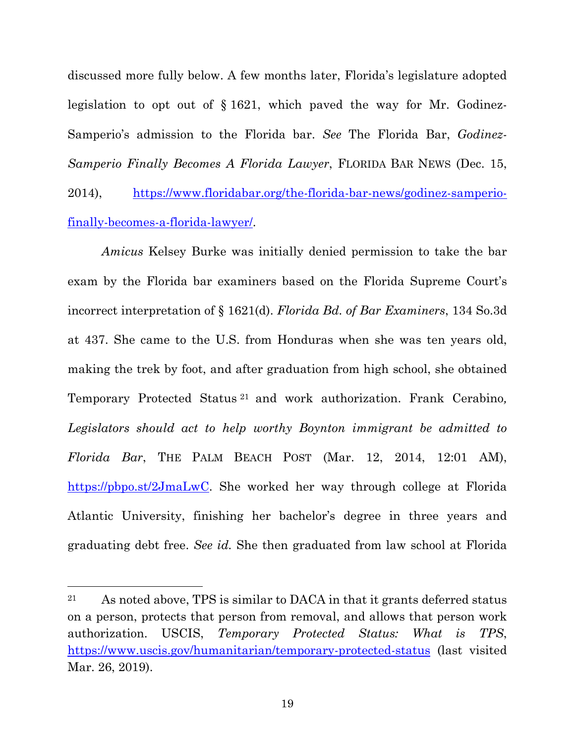discussed more fully below. A few months later, Florida's legislature adopted legislation to opt out of § 1621, which paved the way for Mr. Godinez-Samperio's admission to the Florida bar. *See* The Florida Bar, *Godinez-Samperio Finally Becomes A Florida Lawyer*, FLORIDA BAR NEWS (Dec. 15, 2014), https://www.floridabar.org/the-florida-bar-news/godinez-samperiofinally-becomes-a-florida-lawyer/.

*Amicus* Kelsey Burke was initially denied permission to take the bar exam by the Florida bar examiners based on the Florida Supreme Court's incorrect interpretation of § 1621(d). *Florida Bd. of Bar Examiners*, 134 So.3d at 437. She came to the U.S. from Honduras when she was ten years old, making the trek by foot, and after graduation from high school, she obtained Temporary Protected Status 21 and work authorization. Frank Cerabino*, Legislators should act to help worthy Boynton immigrant be admitted to Florida Bar*, THE PALM BEACH POST (Mar. 12, 2014, 12:01 AM), https://pbpo.st/2JmaLwC. She worked her way through college at Florida Atlantic University, finishing her bachelor's degree in three years and graduating debt free. *See id.* She then graduated from law school at Florida

 $21$  As noted above, TPS is similar to DACA in that it grants deferred status on a person, protects that person from removal, and allows that person work authorization. USCIS, *Temporary Protected Status: What is TPS*, https://www.uscis.gov/humanitarian/temporary-protected-status (last visited Mar. 26, 2019).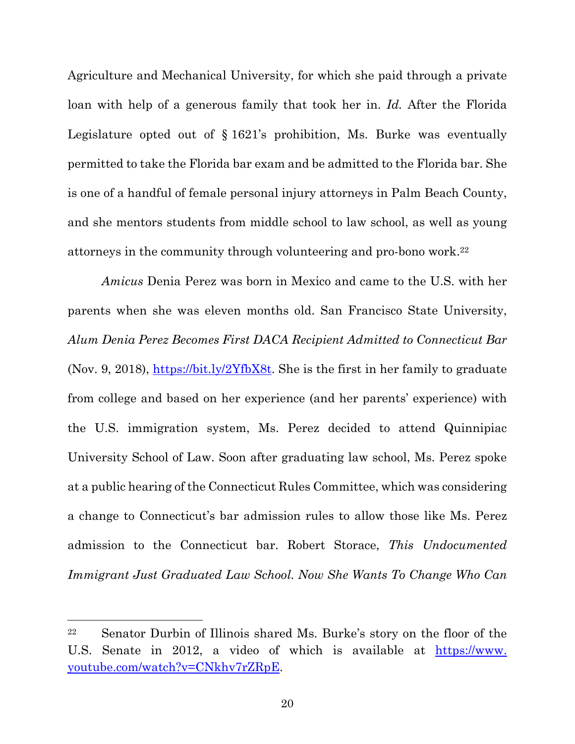Agriculture and Mechanical University, for which she paid through a private loan with help of a generous family that took her in. *Id.* After the Florida Legislature opted out of § 1621's prohibition, Ms. Burke was eventually permitted to take the Florida bar exam and be admitted to the Florida bar. She is one of a handful of female personal injury attorneys in Palm Beach County, and she mentors students from middle school to law school, as well as young attorneys in the community through volunteering and pro-bono work.22

*Amicus* Denia Perez was born in Mexico and came to the U.S. with her parents when she was eleven months old. San Francisco State University, *Alum Denia Perez Becomes First DACA Recipient Admitted to Connecticut Bar* (Nov. 9, 2018),  $\frac{https://bit.ly/2YfbX8t}{https://bit.ly/2YfbX8t}$ . She is the first in her family to graduate from college and based on her experience (and her parents' experience) with the U.S. immigration system, Ms. Perez decided to attend Quinnipiac University School of Law. Soon after graduating law school, Ms. Perez spoke at a public hearing of the Connecticut Rules Committee, which was considering a change to Connecticut's bar admission rules to allow those like Ms. Perez admission to the Connecticut bar. Robert Storace, *This Undocumented Immigrant Just Graduated Law School. Now She Wants To Change Who Can* 

<sup>22</sup> Senator Durbin of Illinois shared Ms. Burke's story on the floor of the U.S. Senate in 2012, a video of which is available at https://www. youtube.com/watch?v=CNkhv7rZRpE.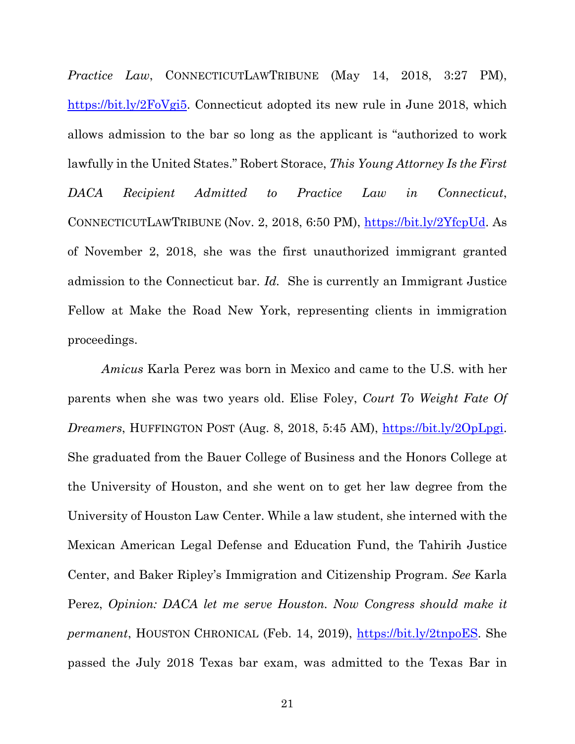*Practice Law*, CONNECTICUTLAWTRIBUNE (May 14, 2018, 3:27 PM), https://bit.ly/2FoVgi5. Connecticut adopted its new rule in June 2018, which allows admission to the bar so long as the applicant is "authorized to work lawfully in the United States." Robert Storace, *This Young Attorney Is the First DACA Recipient Admitted to Practice Law in Connecticut*, CONNECTICUTLAWTRIBUNE (Nov. 2, 2018, 6:50 PM), https://bit.ly/2YfcpUd. As of November 2, 2018, she was the first unauthorized immigrant granted admission to the Connecticut bar. *Id.* She is currently an Immigrant Justice Fellow at Make the Road New York, representing clients in immigration proceedings.

*Amicus* Karla Perez was born in Mexico and came to the U.S. with her parents when she was two years old. Elise Foley, *Court To Weight Fate Of Dreamers*, HUFFINGTON POST (Aug. 8, 2018, 5:45 AM), https://bit.ly/2OpLpgi. She graduated from the Bauer College of Business and the Honors College at the University of Houston, and she went on to get her law degree from the University of Houston Law Center. While a law student, she interned with the Mexican American Legal Defense and Education Fund, the Tahirih Justice Center, and Baker Ripley's Immigration and Citizenship Program. *See* Karla Perez, *Opinion: DACA let me serve Houston. Now Congress should make it permanent*, HOUSTON CHRONICAL (Feb. 14, 2019), https://bit.ly/2tnpoES. She passed the July 2018 Texas bar exam, was admitted to the Texas Bar in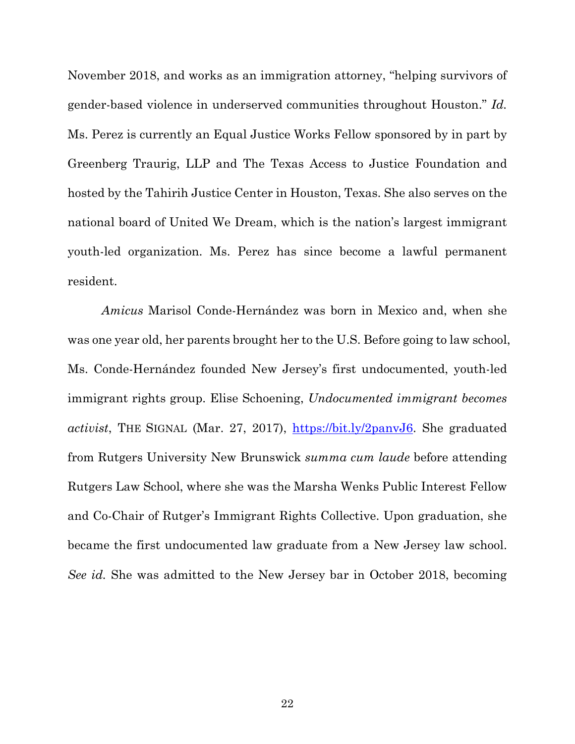November 2018, and works as an immigration attorney, "helping survivors of gender-based violence in underserved communities throughout Houston." *Id.* Ms. Perez is currently an Equal Justice Works Fellow sponsored by in part by Greenberg Traurig, LLP and The Texas Access to Justice Foundation and hosted by the Tahirih Justice Center in Houston, Texas. She also serves on the national board of United We Dream, which is the nation's largest immigrant youth-led organization. Ms. Perez has since become a lawful permanent resident.

*Amicus* Marisol Conde-Hernández was born in Mexico and, when she was one year old, her parents brought her to the U.S. Before going to law school, Ms. Conde-Hernández founded New Jersey's first undocumented, youth-led immigrant rights group. Elise Schoening, *Undocumented immigrant becomes activist*, THE SIGNAL (Mar. 27, 2017), https://bit.ly/2panvJ6. She graduated from Rutgers University New Brunswick *summa cum laude* before attending Rutgers Law School, where she was the Marsha Wenks Public Interest Fellow and Co-Chair of Rutger's Immigrant Rights Collective. Upon graduation, she became the first undocumented law graduate from a New Jersey law school. *See id.* She was admitted to the New Jersey bar in October 2018, becoming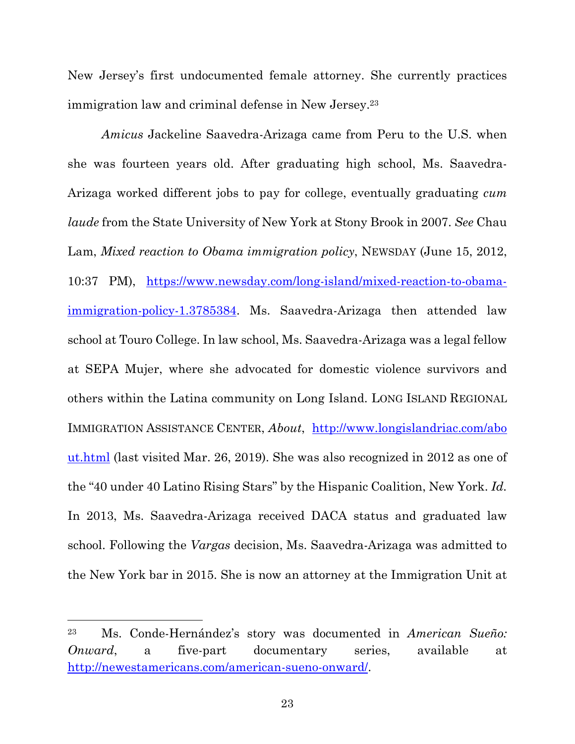New Jersey's first undocumented female attorney. She currently practices immigration law and criminal defense in New Jersey.<sup>23</sup>

*Amicus* Jackeline Saavedra-Arizaga came from Peru to the U.S. when she was fourteen years old. After graduating high school, Ms. Saavedra-Arizaga worked different jobs to pay for college, eventually graduating *cum laude* from the State University of New York at Stony Brook in 2007. *See* Chau Lam, *Mixed reaction to Obama immigration policy*, NEWSDAY (June 15, 2012, 10:37 PM), https://www.newsday.com/long-island/mixed-reaction-to-obamaimmigration-policy-1.3785384. Ms. Saavedra-Arizaga then attended law school at Touro College. In law school, Ms. Saavedra-Arizaga was a legal fellow at SEPA Mujer, where she advocated for domestic violence survivors and others within the Latina community on Long Island. LONG ISLAND REGIONAL IMMIGRATION ASSISTANCE CENTER, *About*, http://www.longislandriac.com/abo ut.html (last visited Mar. 26, 2019). She was also recognized in 2012 as one of the "40 under 40 Latino Rising Stars" by the Hispanic Coalition, New York. *Id.* In 2013, Ms. Saavedra-Arizaga received DACA status and graduated law school. Following the *Vargas* decision, Ms. Saavedra-Arizaga was admitted to the New York bar in 2015. She is now an attorney at the Immigration Unit at

<sup>23</sup> Ms. Conde-Hernández's story was documented in *American Sueño: Onward*, a five-part documentary series, available at http://newestamericans.com/american-sueno-onward/.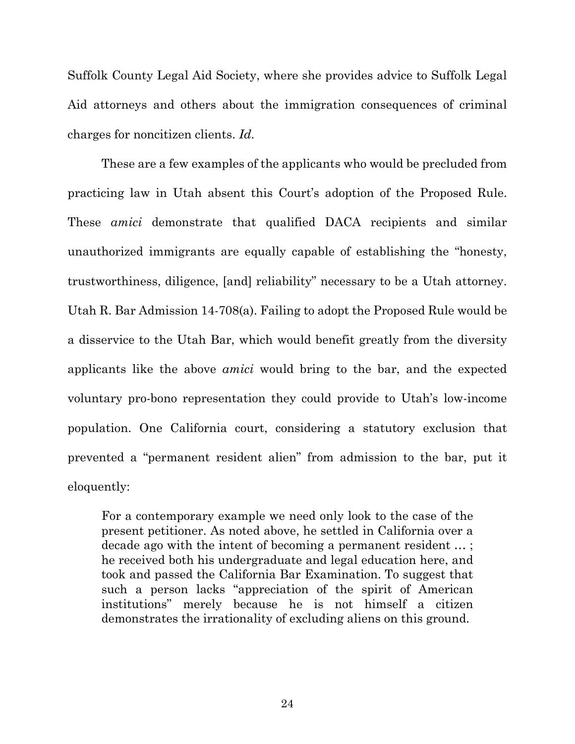Suffolk County Legal Aid Society, where she provides advice to Suffolk Legal Aid attorneys and others about the immigration consequences of criminal charges for noncitizen clients. *Id.*

These are a few examples of the applicants who would be precluded from practicing law in Utah absent this Court's adoption of the Proposed Rule. These *amici* demonstrate that qualified DACA recipients and similar unauthorized immigrants are equally capable of establishing the "honesty, trustworthiness, diligence, [and] reliability" necessary to be a Utah attorney. Utah R. Bar Admission 14-708(a). Failing to adopt the Proposed Rule would be a disservice to the Utah Bar, which would benefit greatly from the diversity applicants like the above *amici* would bring to the bar, and the expected voluntary pro-bono representation they could provide to Utah's low-income population. One California court, considering a statutory exclusion that prevented a "permanent resident alien" from admission to the bar, put it eloquently:

For a contemporary example we need only look to the case of the present petitioner. As noted above, he settled in California over a decade ago with the intent of becoming a permanent resident … ; he received both his undergraduate and legal education here, and took and passed the California Bar Examination. To suggest that such a person lacks "appreciation of the spirit of American institutions" merely because he is not himself a citizen demonstrates the irrationality of excluding aliens on this ground.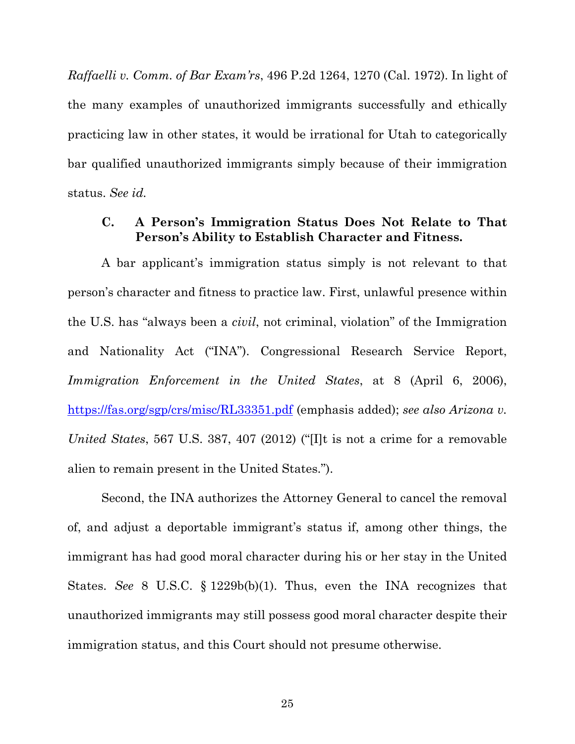*Raffaelli v. Comm. of Bar Exam'rs*, 496 P.2d 1264, 1270 (Cal. 1972). In light of the many examples of unauthorized immigrants successfully and ethically practicing law in other states, it would be irrational for Utah to categorically bar qualified unauthorized immigrants simply because of their immigration status. *See id.*

### **C. A Person's Immigration Status Does Not Relate to That Person's Ability to Establish Character and Fitness.**

A bar applicant's immigration status simply is not relevant to that person's character and fitness to practice law. First, unlawful presence within the U.S. has "always been a *civil*, not criminal, violation" of the Immigration and Nationality Act ("INA"). Congressional Research Service Report, *Immigration Enforcement in the United States*, at 8 (April 6, 2006), https://fas.org/sgp/crs/misc/RL33351.pdf (emphasis added); *see also Arizona v. United States*, 567 U.S. 387, 407 (2012) ("[I]t is not a crime for a removable alien to remain present in the United States.").

Second, the INA authorizes the Attorney General to cancel the removal of, and adjust a deportable immigrant's status if, among other things, the immigrant has had good moral character during his or her stay in the United States. *See* 8 U.S.C. § 1229b(b)(1). Thus, even the INA recognizes that unauthorized immigrants may still possess good moral character despite their immigration status, and this Court should not presume otherwise.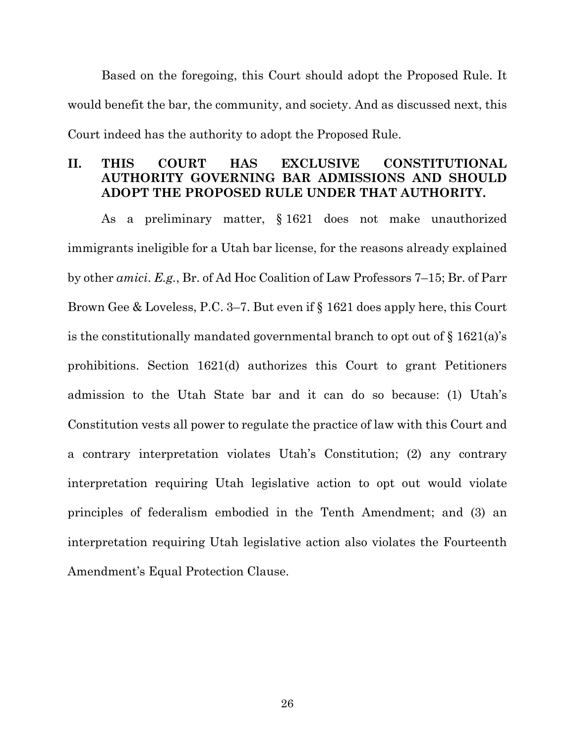Based on the foregoing, this Court should adopt the Proposed Rule. It would benefit the bar, the community, and society. And as discussed next, this Court indeed has the authority to adopt the Proposed Rule.

### **II. THIS COURT HAS EXCLUSIVE CONSTITUTIONAL AUTHORITY GOVERNING BAR ADMISSIONS AND SHOULD ADOPT THE PROPOSED RULE UNDER THAT AUTHORITY.**

As a preliminary matter, § 1621 does not make unauthorized immigrants ineligible for a Utah bar license, for the reasons already explained by other *amici*. *E.g.*, Br. of Ad Hoc Coalition of Law Professors 7–15; Br. of Parr Brown Gee & Loveless, P.C. 3–7. But even if § 1621 does apply here, this Court is the constitutionally mandated governmental branch to opt out of  $\S$  1621(a)'s prohibitions. Section 1621(d) authorizes this Court to grant Petitioners admission to the Utah State bar and it can do so because: (1) Utah's Constitution vests all power to regulate the practice of law with this Court and a contrary interpretation violates Utah's Constitution; (2) any contrary interpretation requiring Utah legislative action to opt out would violate principles of federalism embodied in the Tenth Amendment; and (3) an interpretation requiring Utah legislative action also violates the Fourteenth Amendment's Equal Protection Clause.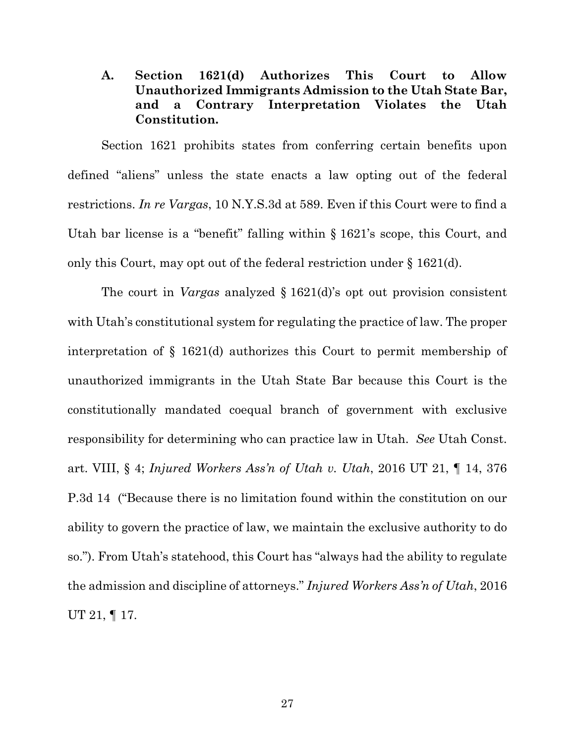**A. Section 1621(d) Authorizes This Court to Allow Unauthorized Immigrants Admission to the Utah State Bar, and a Contrary Interpretation Violates the Utah Constitution.** 

Section 1621 prohibits states from conferring certain benefits upon defined "aliens" unless the state enacts a law opting out of the federal restrictions. *In re Vargas*, 10 N.Y.S.3d at 589. Even if this Court were to find a Utah bar license is a "benefit" falling within § 1621's scope, this Court, and only this Court, may opt out of the federal restriction under § 1621(d).

The court in *Vargas* analyzed § 1621(d)'s opt out provision consistent with Utah's constitutional system for regulating the practice of law. The proper interpretation of § 1621(d) authorizes this Court to permit membership of unauthorized immigrants in the Utah State Bar because this Court is the constitutionally mandated coequal branch of government with exclusive responsibility for determining who can practice law in Utah. *See* Utah Const. art. VIII, § 4; *Injured Workers Ass'n of Utah v. Utah*, 2016 UT 21, ¶ 14, 376 P.3d 14 ("Because there is no limitation found within the constitution on our ability to govern the practice of law, we maintain the exclusive authority to do so."). From Utah's statehood, this Court has "always had the ability to regulate the admission and discipline of attorneys." *Injured Workers Ass'n of Utah*, 2016 UT 21, ¶ 17.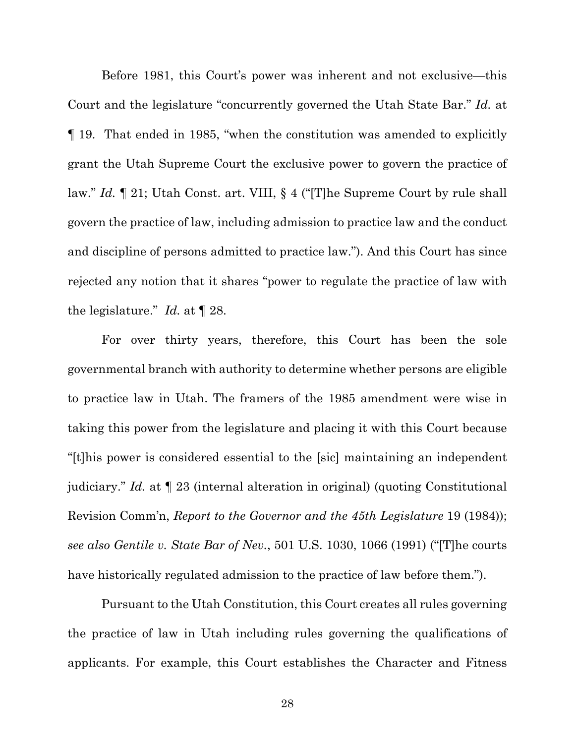Before 1981, this Court's power was inherent and not exclusive—this Court and the legislature "concurrently governed the Utah State Bar." *Id.* at ¶ 19. That ended in 1985, "when the constitution was amended to explicitly grant the Utah Supreme Court the exclusive power to govern the practice of law." *Id.* ¶ 21; Utah Const. art. VIII, § 4 ("[T]he Supreme Court by rule shall govern the practice of law, including admission to practice law and the conduct and discipline of persons admitted to practice law."). And this Court has since rejected any notion that it shares "power to regulate the practice of law with the legislature." *Id.* at ¶ 28.

For over thirty years, therefore, this Court has been the sole governmental branch with authority to determine whether persons are eligible to practice law in Utah. The framers of the 1985 amendment were wise in taking this power from the legislature and placing it with this Court because "[t]his power is considered essential to the [sic] maintaining an independent judiciary." *Id.* at ¶ 23 (internal alteration in original) (quoting Constitutional Revision Comm'n, *Report to the Governor and the 45th Legislature* 19 (1984)); *see also Gentile v. State Bar of Nev.*, 501 U.S. 1030, 1066 (1991) ("[T]he courts have historically regulated admission to the practice of law before them.").

Pursuant to the Utah Constitution, this Court creates all rules governing the practice of law in Utah including rules governing the qualifications of applicants. For example, this Court establishes the Character and Fitness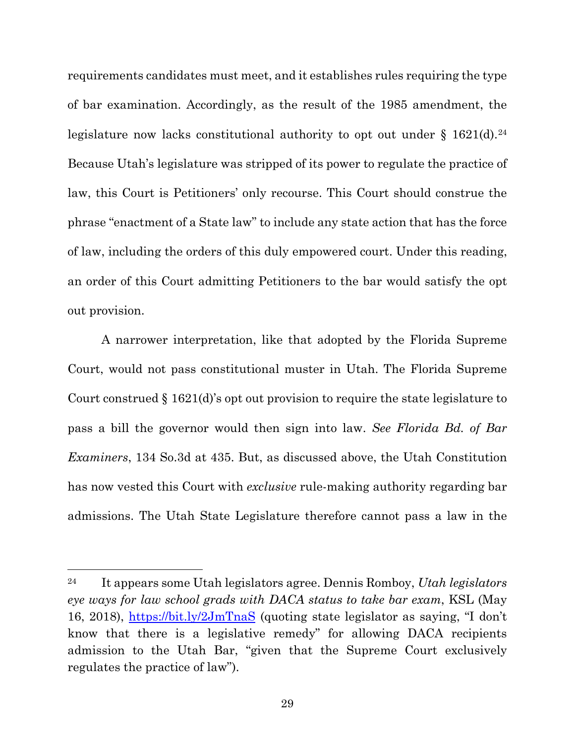requirements candidates must meet, and it establishes rules requiring the type of bar examination. Accordingly, as the result of the 1985 amendment, the legislature now lacks constitutional authority to opt out under  $\S 1621(d).^{24}$ Because Utah's legislature was stripped of its power to regulate the practice of law, this Court is Petitioners' only recourse. This Court should construe the phrase "enactment of a State law" to include any state action that has the force of law, including the orders of this duly empowered court. Under this reading, an order of this Court admitting Petitioners to the bar would satisfy the opt out provision.

A narrower interpretation, like that adopted by the Florida Supreme Court, would not pass constitutional muster in Utah. The Florida Supreme Court construed § 1621(d)'s opt out provision to require the state legislature to pass a bill the governor would then sign into law. *See Florida Bd. of Bar Examiners*, 134 So.3d at 435. But, as discussed above, the Utah Constitution has now vested this Court with *exclusive* rule-making authority regarding bar admissions. The Utah State Legislature therefore cannot pass a law in the

<sup>24</sup> It appears some Utah legislators agree. Dennis Romboy, *Utah legislators eye ways for law school grads with DACA status to take bar exam*, KSL (May 16, 2018), https://bit.ly/2JmTnaS (quoting state legislator as saying, "I don't know that there is a legislative remedy" for allowing DACA recipients admission to the Utah Bar, "given that the Supreme Court exclusively regulates the practice of law").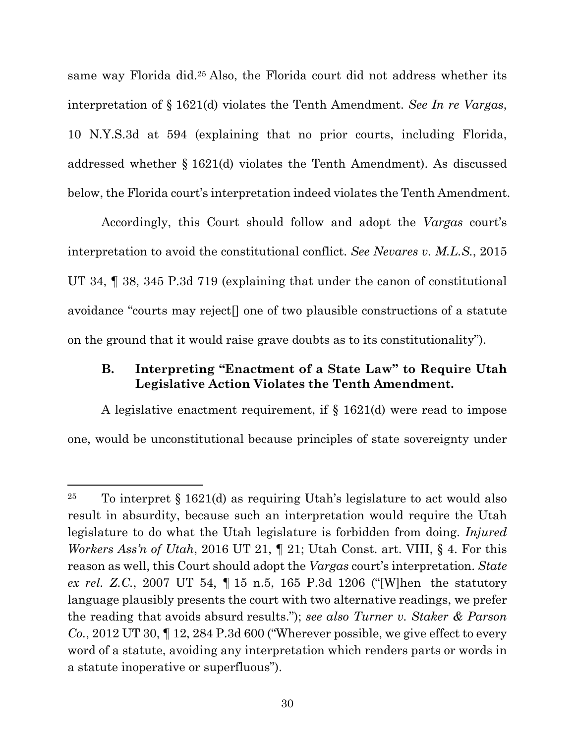same way Florida did.25 Also, the Florida court did not address whether its interpretation of § 1621(d) violates the Tenth Amendment. *See In re Vargas*, 10 N.Y.S.3d at 594 (explaining that no prior courts, including Florida, addressed whether § 1621(d) violates the Tenth Amendment). As discussed below, the Florida court's interpretation indeed violates the Tenth Amendment.

Accordingly, this Court should follow and adopt the *Vargas* court's interpretation to avoid the constitutional conflict. *See Nevares v. M.L.S.*, 2015 UT 34, ¶ 38, 345 P.3d 719 (explaining that under the canon of constitutional avoidance "courts may reject[] one of two plausible constructions of a statute on the ground that it would raise grave doubts as to its constitutionality").

## **B. Interpreting "Enactment of a State Law" to Require Utah Legislative Action Violates the Tenth Amendment.**

A legislative enactment requirement, if § 1621(d) were read to impose one, would be unconstitutional because principles of state sovereignty under

<sup>&</sup>lt;sup>25</sup> To interpret  $\S 1621(d)$  as requiring Utah's legislature to act would also result in absurdity, because such an interpretation would require the Utah legislature to do what the Utah legislature is forbidden from doing. *Injured Workers Ass'n of Utah*, 2016 UT 21, ¶ 21; Utah Const. art. VIII, § 4. For this reason as well, this Court should adopt the *Vargas* court's interpretation. *State ex rel. Z.C.*, 2007 UT 54, ¶ 15 n.5, 165 P.3d 1206 ("[W]hen the statutory language plausibly presents the court with two alternative readings, we prefer the reading that avoids absurd results."); *see also Turner v. Staker & Parson Co.*, 2012 UT 30, ¶ 12, 284 P.3d 600 ("Wherever possible, we give effect to every word of a statute, avoiding any interpretation which renders parts or words in a statute inoperative or superfluous").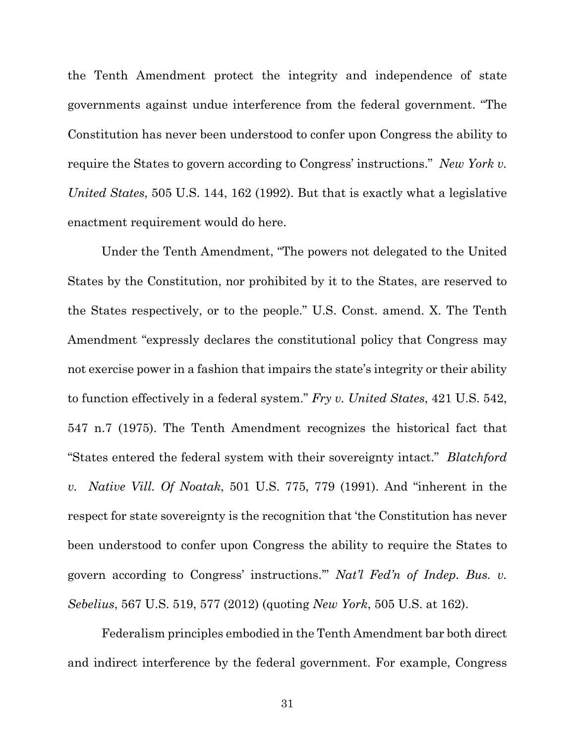the Tenth Amendment protect the integrity and independence of state governments against undue interference from the federal government. "The Constitution has never been understood to confer upon Congress the ability to require the States to govern according to Congress' instructions." *New York v. United States*, 505 U.S. 144, 162 (1992). But that is exactly what a legislative enactment requirement would do here.

Under the Tenth Amendment, "The powers not delegated to the United States by the Constitution, nor prohibited by it to the States, are reserved to the States respectively, or to the people." U.S. Const. amend. X. The Tenth Amendment "expressly declares the constitutional policy that Congress may not exercise power in a fashion that impairs the state's integrity or their ability to function effectively in a federal system." *Fry v. United States*, 421 U.S. 542, 547 n.7 (1975). The Tenth Amendment recognizes the historical fact that "States entered the federal system with their sovereignty intact." *Blatchford v. Native Vill. Of Noatak*, 501 U.S. 775, 779 (1991). And "inherent in the respect for state sovereignty is the recognition that 'the Constitution has never been understood to confer upon Congress the ability to require the States to govern according to Congress' instructions.'" *Nat'l Fed'n of Indep. Bus. v. Sebelius*, 567 U.S. 519, 577 (2012) (quoting *New York*, 505 U.S. at 162).

Federalism principles embodied in the Tenth Amendment bar both direct and indirect interference by the federal government. For example, Congress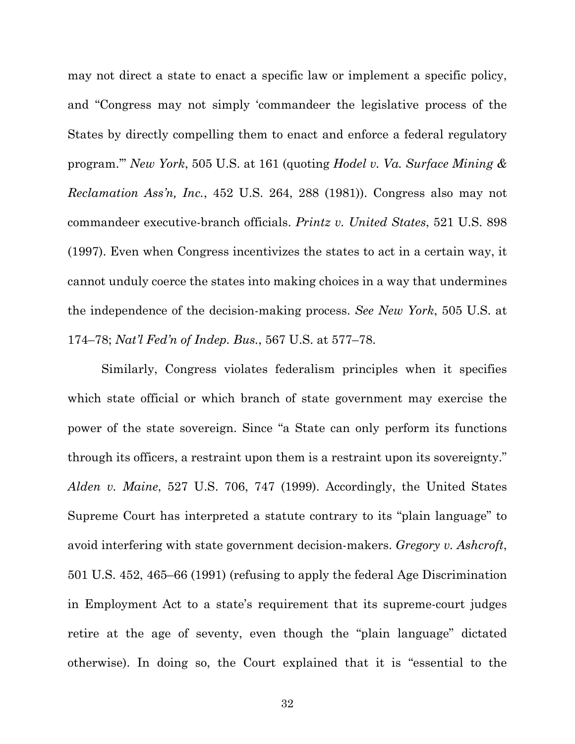may not direct a state to enact a specific law or implement a specific policy, and "Congress may not simply 'commandeer the legislative process of the States by directly compelling them to enact and enforce a federal regulatory program.'" *New York*, 505 U.S. at 161 (quoting *Hodel v. Va. Surface Mining & Reclamation Ass'n, Inc.*, 452 U.S. 264, 288 (1981)). Congress also may not commandeer executive-branch officials. *Printz v. United States*, 521 U.S. 898 (1997). Even when Congress incentivizes the states to act in a certain way, it cannot unduly coerce the states into making choices in a way that undermines the independence of the decision-making process. *See New York*, 505 U.S. at 174–78; *Nat'l Fed'n of Indep. Bus.*, 567 U.S. at 577–78.

Similarly, Congress violates federalism principles when it specifies which state official or which branch of state government may exercise the power of the state sovereign. Since "a State can only perform its functions through its officers, a restraint upon them is a restraint upon its sovereignty." *Alden v. Maine*, 527 U.S. 706, 747 (1999). Accordingly, the United States Supreme Court has interpreted a statute contrary to its "plain language" to avoid interfering with state government decision-makers. *Gregory v. Ashcroft*, 501 U.S. 452, 465–66 (1991) (refusing to apply the federal Age Discrimination in Employment Act to a state's requirement that its supreme-court judges retire at the age of seventy, even though the "plain language" dictated otherwise). In doing so, the Court explained that it is "essential to the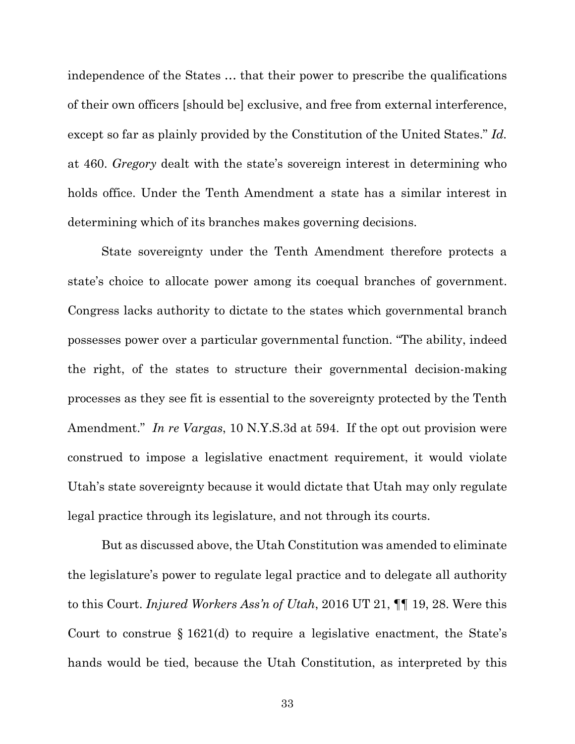independence of the States … that their power to prescribe the qualifications of their own officers [should be] exclusive, and free from external interference, except so far as plainly provided by the Constitution of the United States." *Id.* at 460. *Gregory* dealt with the state's sovereign interest in determining who holds office. Under the Tenth Amendment a state has a similar interest in determining which of its branches makes governing decisions.

State sovereignty under the Tenth Amendment therefore protects a state's choice to allocate power among its coequal branches of government. Congress lacks authority to dictate to the states which governmental branch possesses power over a particular governmental function. "The ability, indeed the right, of the states to structure their governmental decision-making processes as they see fit is essential to the sovereignty protected by the Tenth Amendment." *In re Vargas*, 10 N.Y.S.3d at 594. If the opt out provision were construed to impose a legislative enactment requirement, it would violate Utah's state sovereignty because it would dictate that Utah may only regulate legal practice through its legislature, and not through its courts.

But as discussed above, the Utah Constitution was amended to eliminate the legislature's power to regulate legal practice and to delegate all authority to this Court. *Injured Workers Ass'n of Utah*, 2016 UT 21, ¶¶ 19, 28. Were this Court to construe § 1621(d) to require a legislative enactment, the State's hands would be tied, because the Utah Constitution, as interpreted by this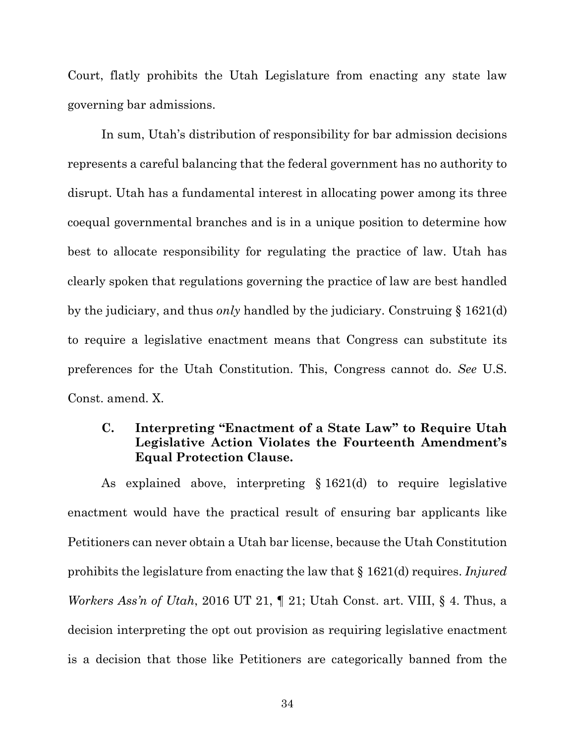Court, flatly prohibits the Utah Legislature from enacting any state law governing bar admissions.

In sum, Utah's distribution of responsibility for bar admission decisions represents a careful balancing that the federal government has no authority to disrupt. Utah has a fundamental interest in allocating power among its three coequal governmental branches and is in a unique position to determine how best to allocate responsibility for regulating the practice of law. Utah has clearly spoken that regulations governing the practice of law are best handled by the judiciary, and thus *only* handled by the judiciary. Construing § 1621(d) to require a legislative enactment means that Congress can substitute its preferences for the Utah Constitution. This, Congress cannot do. *See* U.S. Const. amend. X.

### **C. Interpreting "Enactment of a State Law" to Require Utah Legislative Action Violates the Fourteenth Amendment's Equal Protection Clause.**

As explained above, interpreting § 1621(d) to require legislative enactment would have the practical result of ensuring bar applicants like Petitioners can never obtain a Utah bar license, because the Utah Constitution prohibits the legislature from enacting the law that § 1621(d) requires. *Injured Workers Ass'n of Utah*, 2016 UT 21, ¶ 21; Utah Const. art. VIII, § 4. Thus, a decision interpreting the opt out provision as requiring legislative enactment is a decision that those like Petitioners are categorically banned from the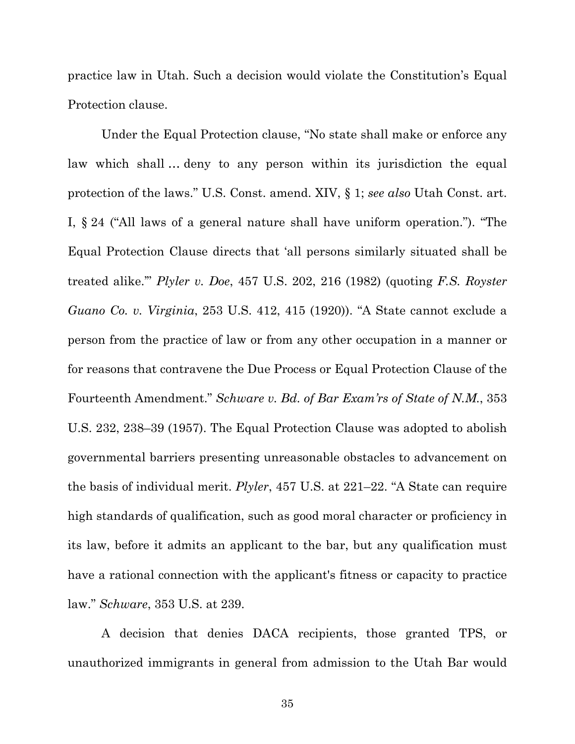practice law in Utah. Such a decision would violate the Constitution's Equal Protection clause.

Under the Equal Protection clause, "No state shall make or enforce any law which shall … deny to any person within its jurisdiction the equal protection of the laws." U.S. Const. amend. XIV, § 1; *see also* Utah Const. art. I, § 24 ("All laws of a general nature shall have uniform operation."). "The Equal Protection Clause directs that 'all persons similarly situated shall be treated alike.'" *Plyler v. Doe*, 457 U.S. 202, 216 (1982) (quoting *F.S. Royster Guano Co. v. Virginia*, 253 U.S. 412, 415 (1920)). "A State cannot exclude a person from the practice of law or from any other occupation in a manner or for reasons that contravene the Due Process or Equal Protection Clause of the Fourteenth Amendment." *Schware v. Bd. of Bar Exam'rs of State of N.M.*, 353 U.S. 232, 238–39 (1957). The Equal Protection Clause was adopted to abolish governmental barriers presenting unreasonable obstacles to advancement on the basis of individual merit. *Plyler*, 457 U.S. at 221–22. "A State can require high standards of qualification, such as good moral character or proficiency in its law, before it admits an applicant to the bar, but any qualification must have a rational connection with the applicant's fitness or capacity to practice law." *Schware*, 353 U.S. at 239.

A decision that denies DACA recipients, those granted TPS, or unauthorized immigrants in general from admission to the Utah Bar would

35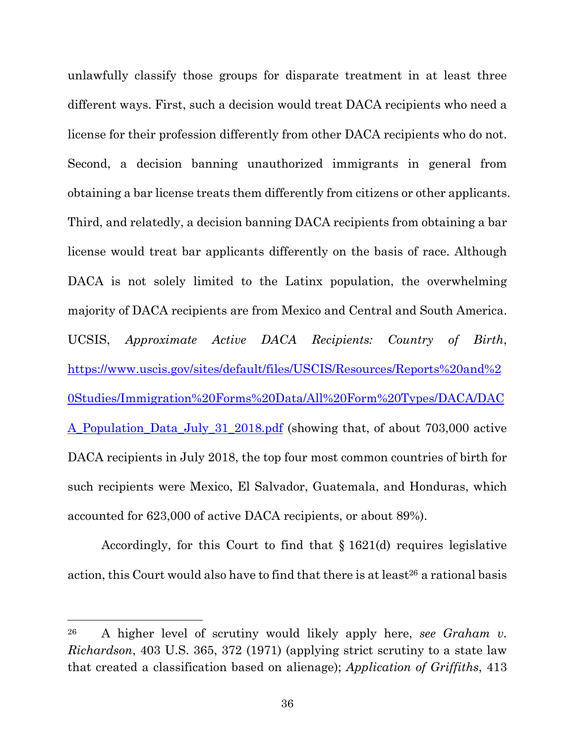unlawfully classify those groups for disparate treatment in at least three different ways. First, such a decision would treat DACA recipients who need a license for their profession differently from other DACA recipients who do not. Second, a decision banning unauthorized immigrants in general from obtaining a bar license treats them differently from citizens or other applicants. Third, and relatedly, a decision banning DACA recipients from obtaining a bar license would treat bar applicants differently on the basis of race. Although DACA is not solely limited to the Latinx population, the overwhelming majority of DACA recipients are from Mexico and Central and South America. UCSIS, *Approximate Active DACA Recipients: Country of Birth*, https://www.uscis.gov/sites/default/files/USCIS/Resources/Reports%20and%2 0Studies/Immigration%20Forms%20Data/All%20Form%20Types/DACA/DAC A\_Population\_Data\_July\_31\_2018.pdf (showing that, of about 703,000 active DACA recipients in July 2018, the top four most common countries of birth for such recipients were Mexico, El Salvador, Guatemala, and Honduras, which accounted for 623,000 of active DACA recipients, or about 89%).

Accordingly, for this Court to find that § 1621(d) requires legislative action, this Court would also have to find that there is at least<sup>26</sup> a rational basis

<sup>26</sup> A higher level of scrutiny would likely apply here, *see Graham v. Richardson*, 403 U.S. 365, 372 (1971) (applying strict scrutiny to a state law that created a classification based on alienage); *Application of Griffiths*, 413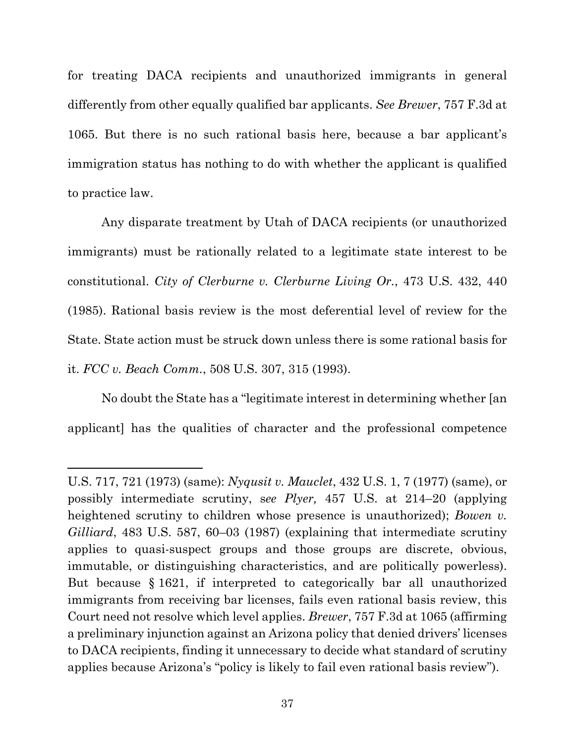for treating DACA recipients and unauthorized immigrants in general differently from other equally qualified bar applicants. *See Brewer*, 757 F.3d at 1065. But there is no such rational basis here, because a bar applicant's immigration status has nothing to do with whether the applicant is qualified to practice law.

Any disparate treatment by Utah of DACA recipients (or unauthorized immigrants) must be rationally related to a legitimate state interest to be constitutional. *City of Clerburne v. Clerburne Living Or.*, 473 U.S. 432, 440 (1985). Rational basis review is the most deferential level of review for the State. State action must be struck down unless there is some rational basis for it. *FCC v. Beach Comm.*, 508 U.S. 307, 315 (1993).

No doubt the State has a "legitimate interest in determining whether [an applicant] has the qualities of character and the professional competence

U.S. 717, 721 (1973) (same): *Nyqusit v. Mauclet*, 432 U.S. 1, 7 (1977) (same), or possibly intermediate scrutiny, s*ee Plyer,* 457 U.S. at 214–20 (applying heightened scrutiny to children whose presence is unauthorized); *Bowen v. Gilliard*, 483 U.S. 587, 60–03 (1987) (explaining that intermediate scrutiny applies to quasi-suspect groups and those groups are discrete, obvious, immutable, or distinguishing characteristics, and are politically powerless). But because § 1621, if interpreted to categorically bar all unauthorized immigrants from receiving bar licenses, fails even rational basis review, this Court need not resolve which level applies. *Brewer*, 757 F.3d at 1065 (affirming a preliminary injunction against an Arizona policy that denied drivers' licenses to DACA recipients, finding it unnecessary to decide what standard of scrutiny applies because Arizona's "policy is likely to fail even rational basis review").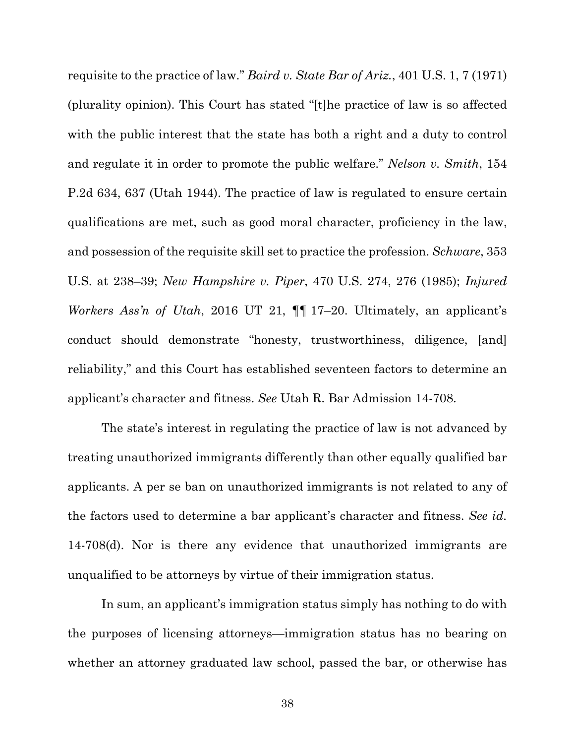requisite to the practice of law." *Baird v. State Bar of Ariz.*, 401 U.S. 1, 7 (1971) (plurality opinion). This Court has stated "[t]he practice of law is so affected with the public interest that the state has both a right and a duty to control and regulate it in order to promote the public welfare." *Nelson v. Smith*, 154 P.2d 634, 637 (Utah 1944). The practice of law is regulated to ensure certain qualifications are met, such as good moral character, proficiency in the law, and possession of the requisite skill set to practice the profession. *Schware*, 353 U.S. at 238–39; *New Hampshire v. Piper*, 470 U.S. 274, 276 (1985); *Injured Workers Ass'n of Utah*, 2016 UT 21, ¶¶ 17–20. Ultimately, an applicant's conduct should demonstrate "honesty, trustworthiness, diligence, [and] reliability," and this Court has established seventeen factors to determine an applicant's character and fitness. *See* Utah R. Bar Admission 14-708.

The state's interest in regulating the practice of law is not advanced by treating unauthorized immigrants differently than other equally qualified bar applicants. A per se ban on unauthorized immigrants is not related to any of the factors used to determine a bar applicant's character and fitness. *See id.*  14-708(d). Nor is there any evidence that unauthorized immigrants are unqualified to be attorneys by virtue of their immigration status.

In sum, an applicant's immigration status simply has nothing to do with the purposes of licensing attorneys—immigration status has no bearing on whether an attorney graduated law school, passed the bar, or otherwise has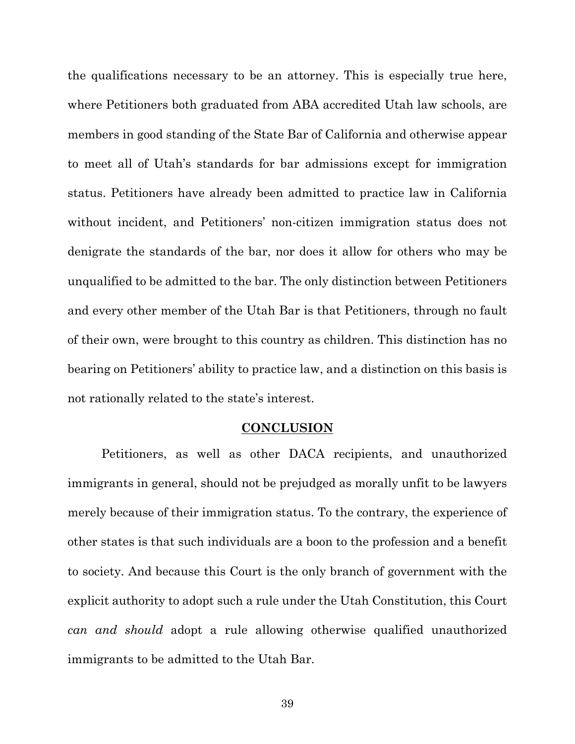the qualifications necessary to be an attorney. This is especially true here, where Petitioners both graduated from ABA accredited Utah law schools, are members in good standing of the State Bar of California and otherwise appear to meet all of Utah's standards for bar admissions except for immigration status. Petitioners have already been admitted to practice law in California without incident, and Petitioners' non-citizen immigration status does not denigrate the standards of the bar, nor does it allow for others who may be unqualified to be admitted to the bar. The only distinction between Petitioners and every other member of the Utah Bar is that Petitioners, through no fault of their own, were brought to this country as children. This distinction has no bearing on Petitioners' ability to practice law, and a distinction on this basis is not rationally related to the state's interest.

#### **CONCLUSION**

Petitioners, as well as other DACA recipients, and unauthorized immigrants in general, should not be prejudged as morally unfit to be lawyers merely because of their immigration status. To the contrary, the experience of other states is that such individuals are a boon to the profession and a benefit to society. And because this Court is the only branch of government with the explicit authority to adopt such a rule under the Utah Constitution, this Court *can and should* adopt a rule allowing otherwise qualified unauthorized immigrants to be admitted to the Utah Bar.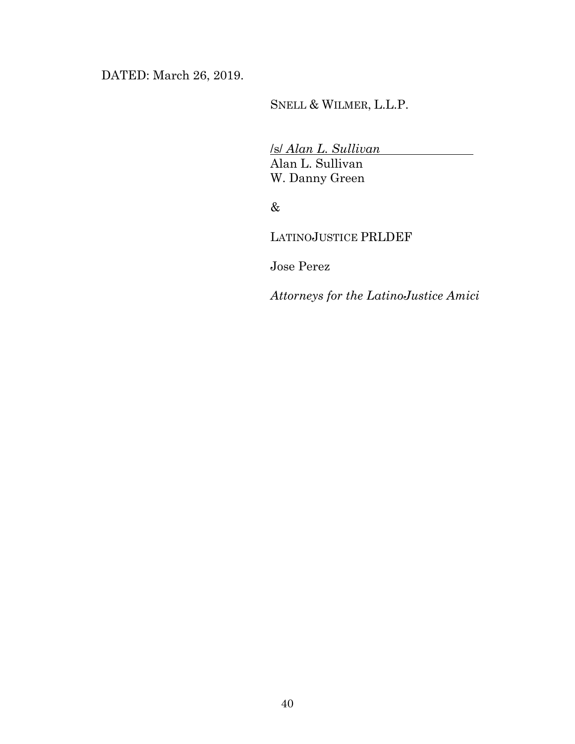DATED: March 26, 2019.

SNELL & WILMER, L.L.P.

/s/ *Alan L. Sullivan* Alan L. Sullivan W. Danny Green

## &

LATINOJUSTICE PRLDEF

Jose Perez

*Attorneys for the LatinoJustice Amici*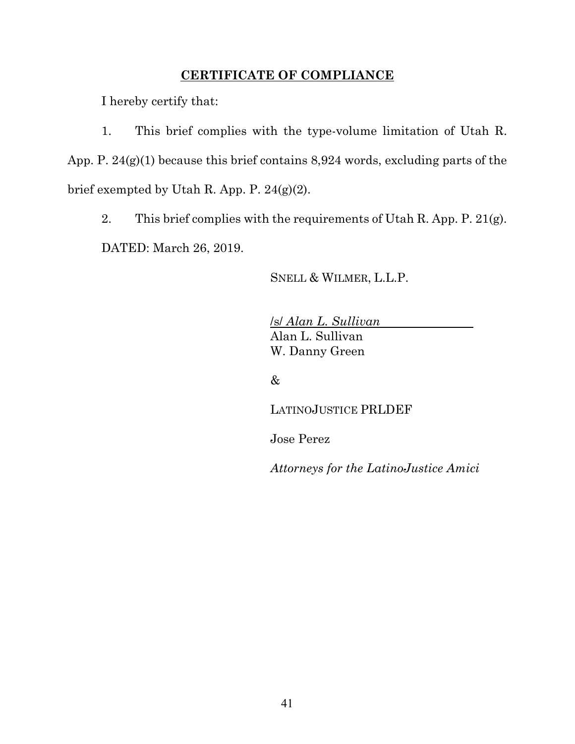### **CERTIFICATE OF COMPLIANCE**

I hereby certify that:

1. This brief complies with the type-volume limitation of Utah R. App. P. 24(g)(1) because this brief contains 8,924 words, excluding parts of the brief exempted by Utah R. App. P. 24(g)(2).

2. This brief complies with the requirements of Utah R. App. P. 21(g). DATED: March 26, 2019.

SNELL & WILMER, L.L.P.

/s/ *Alan L. Sullivan* Alan L. Sullivan W. Danny Green

&

LATINOJUSTICE PRLDEF

Jose Perez

*Attorneys for the LatinoJustice Amici*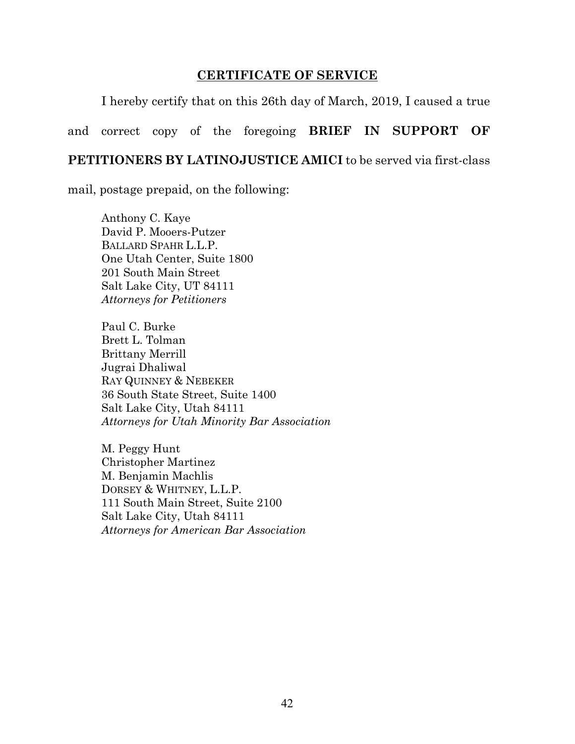#### **CERTIFICATE OF SERVICE**

I hereby certify that on this 26th day of March, 2019, I caused a true

and correct copy of the foregoing **BRIEF IN SUPPORT OF** 

#### **PETITIONERS BY LATINOJUSTICE AMICI** to be served via first-class

mail, postage prepaid, on the following:

Anthony C. Kaye David P. Mooers-Putzer BALLARD SPAHR L.L.P. One Utah Center, Suite 1800 201 South Main Street Salt Lake City, UT 84111 *Attorneys for Petitioners* 

Paul C. Burke Brett L. Tolman Brittany Merrill Jugrai Dhaliwal RAY QUINNEY & NEBEKER 36 South State Street, Suite 1400 Salt Lake City, Utah 84111 *Attorneys for Utah Minority Bar Association* 

M. Peggy Hunt Christopher Martinez M. Benjamin Machlis DORSEY & WHITNEY, L.L.P. 111 South Main Street, Suite 2100 Salt Lake City, Utah 84111 *Attorneys for American Bar Association*